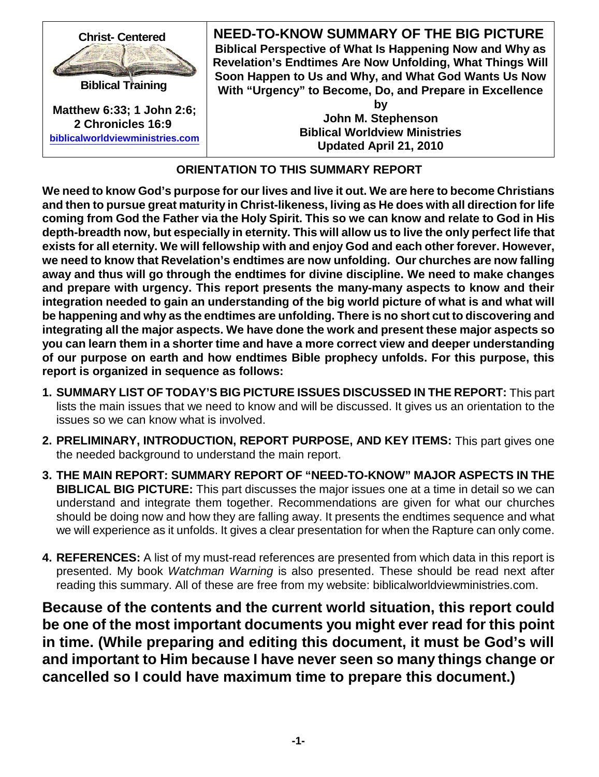

# **ORIENTATION TO THIS SUMMARY REPORT**

We need to know God's purpose for our lives and live it out. We are here to become Christians **and then to pursue great maturity in Christ-likeness, living as He does with all direction for life** coming from God the Father via the Holy Spirit. This so we can know and relate to God in His **depth-breadth now, but especially in eternity. This will allow us to live the only perfect life that exists for all eternity. We will fellowship with and enjoy God and each other forever. However, we need to know that Revelation's endtimes are now unfolding. Our churches are now falling away and thus will go through the endtimes for divine discipline. We need to make changes and prepare with urgency. This report presents the many-many aspects to know and their integration needed to gain an understanding of the big world picture of what is and what will be happening and why as the endtimes are unfolding. There is no short cut to discovering and integrating all the major aspects. We have done the work and present these major aspects so you can learn them in a shorter time and have a more correct view and deeper understanding of our purpose on earth and how endtimes Bible prophecy unfolds. For this purpose, this report is organized in sequence as follows:**

- **1. SUMMARY LIST OF TODAY'S BIG PICTURE ISSUES DISCUSSED IN THE REPORT:** This part lists the main issues that we need to know and will be discussed. It gives us an orientation to the issues so we can know what is involved.
- **2. PRELIMINARY, INTRODUCTION, REPORT PURPOSE, AND KEY ITEMS:** This part gives one the needed background to understand the main report.
- **3. THE MAIN REPORT: SUMMARY REPORT OF "NEED-TO-KNOW" MAJOR ASPECTS IN THE BIBLICAL BIG PICTURE:** This part discusses the major issues one at a time in detail so we can understand and integrate them together. Recommendations are given for what our churches should be doing now and how they are falling away. It presents the endtimes sequence and what we will experience as it unfolds. It gives a clear presentation for when the Rapture can only come.
- **4. REFERENCES:** A list of my must-read references are presented from which data in this report is presented. My book *Watchman Warning* is also presented. These should be read next after reading this summary. All of these are free from my website: biblicalworldviewministries.com.

**Because of the contents and the current world situation, this report could be one of the most important documents you might ever read for this point in time. (While preparing and editing this document, it must be God's will and important to Him because I have never seen so many things change or cancelled so I could have maximum time to prepare this document.)**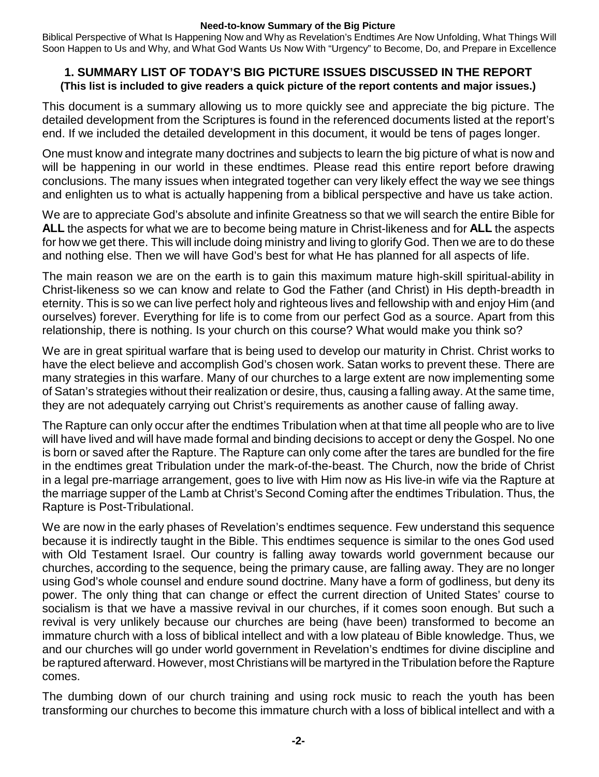Biblical Perspective of What Is Happening Now and Why as Revelation's Endtimes Are Now Unfolding, What Things Will Soon Happen to Us and Why, and What God Wants Us Now With "Urgency" to Become, Do, and Prepare in Excellence

# **1. SUMMARY LIST OF TODAY'S BIG PICTURE ISSUES DISCUSSED IN THE REPORT (This list is included to give readers a quick picture of the report contents and major issues.)**

This document is a summary allowing us to more quickly see and appreciate the big picture. The detailed development from the Scriptures is found in the referenced documents listed at the report's end. If we included the detailed development in this document, it would be tens of pages longer.

One must know and integrate many doctrines and subjects to learn the big picture of what is now and will be happening in our world in these endtimes. Please read this entire report before drawing conclusions. The many issues when integrated together can very likely effect the way we see things and enlighten us to what is actually happening from a biblical perspective and have us take action.

We are to appreciate God's absolute and infinite Greatness so that we will search the entire Bible for **ALL** the aspects for what we are to become being mature in Christ-likeness and for **ALL** the aspects for how we get there. This will include doing ministry and living to glorify God. Then we are to do these and nothing else. Then we will have God's best for what He has planned for all aspects of life.

The main reason we are on the earth is to gain this maximum mature high-skill spiritual-ability in Christ-likeness so we can know and relate to God the Father (and Christ) in His depth-breadth in eternity. This is so we can live perfect holy and righteous lives and fellowship with and enjoy Him (and ourselves) forever. Everything for life is to come from our perfect God as a source. Apart from this relationship, there is nothing. Is your church on this course? What would make you think so?

We are in great spiritual warfare that is being used to develop our maturity in Christ. Christ works to have the elect believe and accomplish God's chosen work. Satan works to prevent these. There are many strategies in this warfare. Many of our churches to a large extent are now implementing some of Satan's strategies without their realization or desire, thus, causing a falling away. At the same time, they are not adequately carrying out Christ's requirements as another cause of falling away.

The Rapture can only occur after the endtimes Tribulation when at that time all people who are to live will have lived and will have made formal and binding decisions to accept or deny the Gospel. No one is born or saved after the Rapture. The Rapture can only come after the tares are bundled for the fire in the endtimes great Tribulation under the mark-of-the-beast. The Church, now the bride of Christ in a legal pre-marriage arrangement, goes to live with Him now as His live-in wife via the Rapture at the marriage supper of the Lamb at Christ's Second Coming after the endtimes Tribulation. Thus, the Rapture is Post-Tribulational.

We are now in the early phases of Revelation's endtimes sequence. Few understand this sequence because it is indirectly taught in the Bible. This endtimes sequence is similar to the ones God used with Old Testament Israel. Our country is falling away towards world government because our churches, according to the sequence, being the primary cause, are falling away. They are no longer using God's whole counsel and endure sound doctrine. Many have a form of godliness, but deny its power. The only thing that can change or effect the current direction of United States' course to socialism is that we have a massive revival in our churches, if it comes soon enough. But such a revival is very unlikely because our churches are being (have been) transformed to become an immature church with a loss of biblical intellect and with a low plateau of Bible knowledge. Thus, we and our churches will go under world government in Revelation's endtimes for divine discipline and be raptured afterward. However, most Christians will be martyred in the Tribulation before the Rapture comes.

The dumbing down of our church training and using rock music to reach the youth has been transforming our churches to become this immature church with a loss of biblical intellect and with a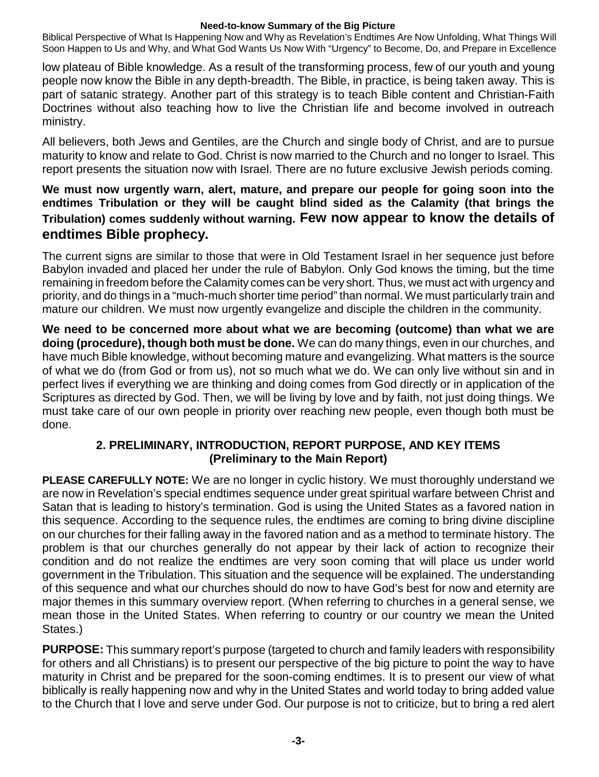Biblical Perspective of What Is Happening Now and Why as Revelation's Endtimes Are Now Unfolding, What Things Will Soon Happen to Us and Why, and What God Wants Us Now With "Urgency" to Become, Do, and Prepare in Excellence

low plateau of Bible knowledge. As a result of the transforming process, few of our youth and young people now know the Bible in any depth-breadth. The Bible, in practice, is being taken away. This is part of satanic strategy. Another part of this strategy is to teach Bible content and Christian-Faith Doctrines without also teaching how to live the Christian life and become involved in outreach ministry.

All believers, both Jews and Gentiles, are the Church and single body of Christ, and are to pursue maturity to know and relate to God. Christ is now married to the Church and no longer to Israel. This report presents the situation now with Israel. There are no future exclusive Jewish periods coming.

# **We must now urgently warn, alert, mature, and prepare our people for going soon into the endtimes Tribulation or they will be caught blind sided as the Calamity (that brings the Tribulation) comes suddenly without warning. Few now appear to know the details of endtimes Bible prophecy.**

The current signs are similar to those that were in Old Testament Israel in her sequence just before Babylon invaded and placed her under the rule of Babylon. Only God knows the timing, but the time remaining in freedom before the Calamity comes can be very short. Thus, we must act with urgency and priority, and do things in a "much-much shorter time period" than normal. We must particularly train and mature our children. We must now urgently evangelize and disciple the children in the community.

**We need to be concerned more about what we are becoming (outcome) than what we are doing (procedure), though both must be done.** We can do many things, even in our churches, and have much Bible knowledge, without becoming mature and evangelizing. What matters is the source of what we do (from God or from us), not so much what we do. We can only live without sin and in perfect lives if everything we are thinking and doing comes from God directly or in application of the Scriptures as directed by God. Then, we will be living by love and by faith, not just doing things. We must take care of our own people in priority over reaching new people, even though both must be done.

# **2. PRELIMINARY, INTRODUCTION, REPORT PURPOSE, AND KEY ITEMS (Preliminary to the Main Report)**

**PLEASE CAREFULLY NOTE:** We are no longer in cyclic history. We must thoroughly understand we are now in Revelation's special endtimes sequence under great spiritual warfare between Christ and Satan that is leading to history's termination. God is using the United States as a favored nation in this sequence. According to the sequence rules, the endtimes are coming to bring divine discipline on our churches for their falling away in the favored nation and as a method to terminate history. The problem is that our churches generally do not appear by their lack of action to recognize their condition and do not realize the endtimes are very soon coming that will place us under world government in the Tribulation. This situation and the sequence will be explained. The understanding of this sequence and what our churches should do now to have God's best for now and eternity are major themes in this summary overview report. (When referring to churches in a general sense, we mean those in the United States. When referring to country or our country we mean the United States.)

**PURPOSE:** This summary report's purpose (targeted to church and family leaders with responsibility for others and all Christians) is to present our perspective of the big picture to point the way to have maturity in Christ and be prepared for the soon-coming endtimes. It is to present our view of what biblically is really happening now and why in the United States and world today to bring added value to the Church that I love and serve under God. Our purpose is not to criticize, but to bring a red alert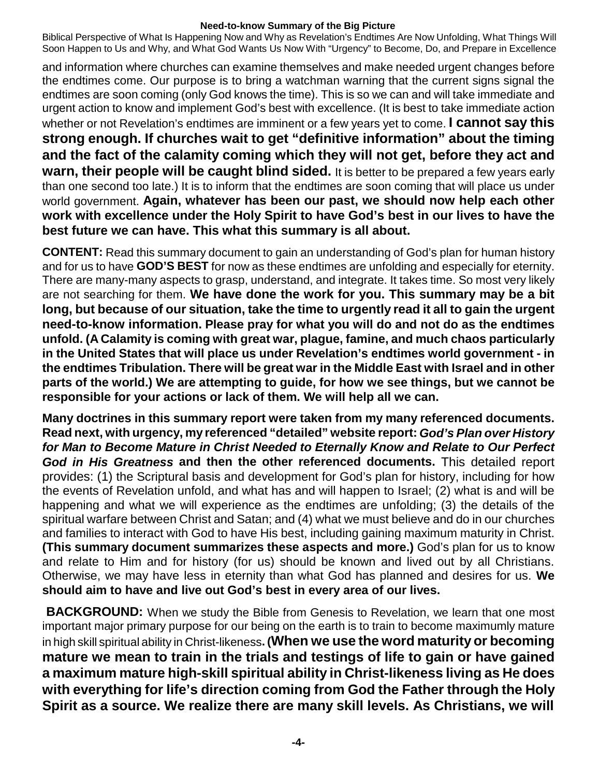Biblical Perspective of What Is Happening Now and Why as Revelation's Endtimes Are Now Unfolding, What Things Will Soon Happen to Us and Why, and What God Wants Us Now With "Urgency" to Become, Do, and Prepare in Excellence

and information where churches can examine themselves and make needed urgent changes before the endtimes come. Our purpose is to bring a watchman warning that the current signs signal the endtimes are soon coming (only God knows the time). This is so we can and will take immediate and urgent action to know and implement God's best with excellence. (It is best to take immediate action whether or not Revelation's endtimes are imminent or a few years yet to come. **I cannot say this strong enough. If churches wait to get "definitive information" about the timing and the fact of the calamity coming which they will not get, before they act and warn, their people will be caught blind sided.** It is better to be prepared a few years early than one second too late.) It is to inform that the endtimes are soon coming that will place us under world government. **Again, whatever has been our past, we should now help each other work with excellence under the Holy Spirit to have God's best in our lives to have the best future we can have. This what this summary is all about.**

**CONTENT:** Read this summary document to gain an understanding of God's plan for human history and for us to have **GOD'S BEST** for now as these endtimes are unfolding and especially for eternity. There are many-many aspects to grasp, understand, and integrate. It takes time. So most very likely are not searching for them. **We have done the work for you. This summary may be a bit long, but because of our situation, take the time to urgently read it all to gain the urgent need-to-know information. Please pray for what you will do and not do as the endtimes unfold. (A Calamity is coming with great war, plague, famine, and much chaos particularly in the United States that will place us under Revelation's endtimes world government - in the endtimes Tribulation. There will be great war in the Middle East with Israel and in other parts of the world.) We are attempting to guide, for how we see things, but we cannot be responsible for your actions or lack of them. We will help all we can.**

**Many doctrines in this summary report were taken from my many referenced documents. Read next, with urgency, my referenced "detailed" website report:** *God's Plan over History for Man to Become Mature in Christ Needed to Eternally Know and Relate to Our Perfect God in His Greatness* **and then the other referenced documents.** This detailed report provides: (1) the Scriptural basis and development for God's plan for history, including for how the events of Revelation unfold, and what has and will happen to Israel; (2) what is and will be happening and what we will experience as the endtimes are unfolding; (3) the details of the spiritual warfare between Christ and Satan; and (4) what we must believe and do in our churches and families to interact with God to have His best, including gaining maximum maturity in Christ. **(This summary document summarizes these aspects and more.)** God's plan for us to know and relate to Him and for history (for us) should be known and lived out by all Christians. Otherwise, we may have less in eternity than what God has planned and desires for us. **We should aim to have and live out God's best in every area of our lives.**

**BACKGROUND:** When we study the Bible from Genesis to Revelation, we learn that one most important major primary purpose for our being on the earth is to train to become maximumly mature in high skill spiritual ability in Christ-likeness**. (When we use the word maturityor becoming mature we mean to train in the trials and testings of life to gain or have gained a maximum mature high-skill spiritual ability in Christ-likeness living as He does with everything for life's direction coming from God the Father through the Holy Spirit as a source. We realize there are many skill levels. As Christians, we will**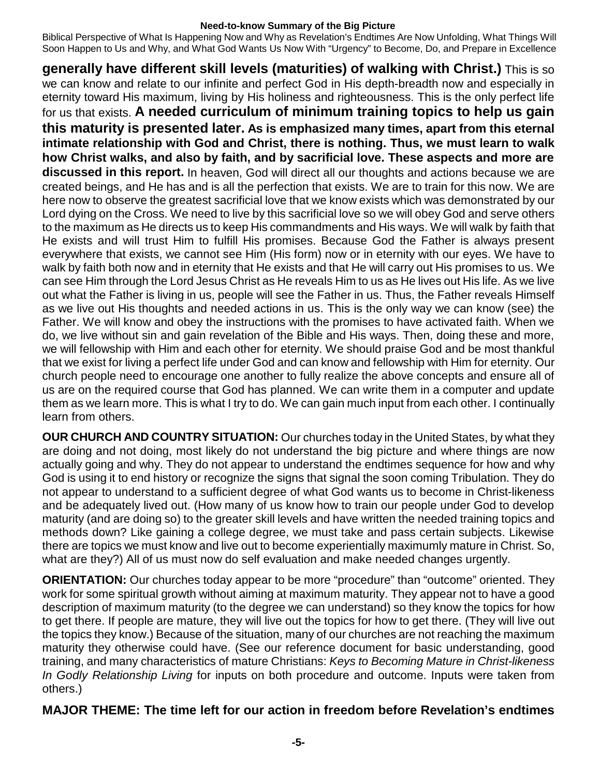Biblical Perspective of What Is Happening Now and Why as Revelation's Endtimes Are Now Unfolding, What Things Will Soon Happen to Us and Why, and What God Wants Us Now With "Urgency" to Become, Do, and Prepare in Excellence

**generally have different skill levels (maturities) of walking with Christ.)** This is so we can know and relate to our infinite and perfect God in His depth-breadth now and especially in eternity toward His maximum, living by His holiness and righteousness. This is the only perfect life for us that exists. **A needed curriculum of minimum training topics to help us gain this maturity is presented later. As is emphasized many times, apart from this eternal intimate relationship with God and Christ, there is nothing. Thus, we must learn to walk how Christ walks, and also by faith, and by sacrificial love. These aspects and more are discussed in this report.** In heaven, God will direct all our thoughts and actions because we are created beings, and He has and is all the perfection that exists. We are to train for this now. We are here now to observe the greatest sacrificial love that we know exists which was demonstrated by our Lord dying on the Cross. We need to live by this sacrificial love so we will obey God and serve others to the maximum as He directs us to keep His commandments and His ways. We will walk by faith that He exists and will trust Him to fulfill His promises. Because God the Father is always present everywhere that exists, we cannot see Him (His form) now or in eternity with our eyes. We have to walk by faith both now and in eternity that He exists and that He will carry out His promises to us. We can see Him through the Lord Jesus Christ as He reveals Him to us as He lives out His life. As we live out what the Father is living in us, people will see the Father in us. Thus, the Father reveals Himself as we live out His thoughts and needed actions in us. This is the only way we can know (see) the Father. We will know and obey the instructions with the promises to have activated faith. When we do, we live without sin and gain revelation of the Bible and His ways. Then, doing these and more, we will fellowship with Him and each other for eternity. We should praise God and be most thankful that we exist for living a perfect life under God and can know and fellowship with Him for eternity. Our church people need to encourage one another to fully realize the above concepts and ensure all of us are on the required course that God has planned. We can write them in a computer and update them as we learn more. This is what I try to do. We can gain much input from each other. I continually learn from others.

**OUR CHURCH AND COUNTRY SITUATION:** Our churches today in the United States, by what they are doing and not doing, most likely do not understand the big picture and where things are now actually going and why. They do not appear to understand the endtimes sequence for how and why God is using it to end history or recognize the signs that signal the soon coming Tribulation. They do not appear to understand to a sufficient degree of what God wants us to become in Christ-likeness and be adequately lived out. (How many of us know how to train our people under God to develop maturity (and are doing so) to the greater skill levels and have written the needed training topics and methods down? Like gaining a college degree, we must take and pass certain subjects. Likewise there are topics we must know and live out to become experientially maximumly mature in Christ. So, what are they?) All of us must now do self evaluation and make needed changes urgently.

**ORIENTATION:** Our churches today appear to be more "procedure" than "outcome" oriented. They work for some spiritual growth without aiming at maximum maturity. They appear not to have a good description of maximum maturity (to the degree we can understand) so they know the topics for how to get there. If people are mature, they will live out the topics for how to get there. (They will live out the topics they know.) Because of the situation, many of our churches are not reaching the maximum maturity they otherwise could have. (See our reference document for basic understanding, good training, and many characteristics of mature Christians: *Keys to Becoming Mature in Christ-likeness In Godly Relationship Living* for inputs on both procedure and outcome. Inputs were taken from others.)

# **MAJOR THEME: The time left for our action in freedom before Revelation's endtimes**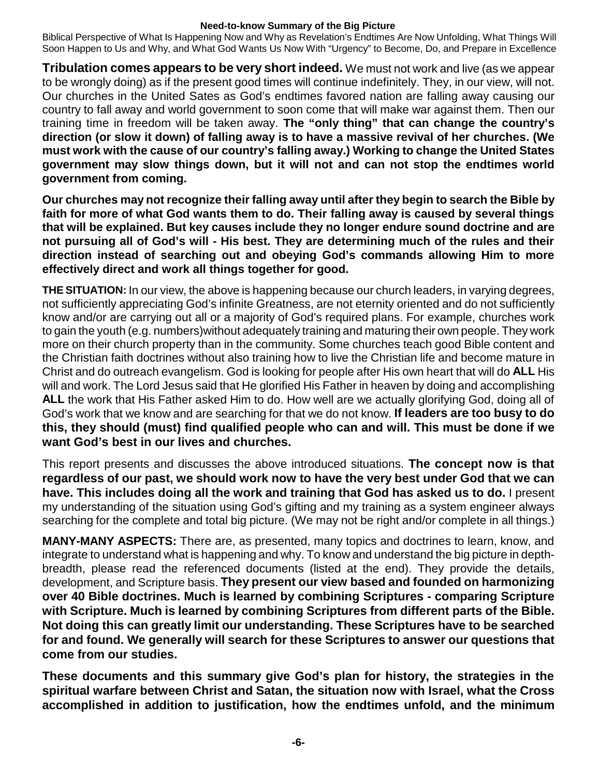Biblical Perspective of What Is Happening Now and Why as Revelation's Endtimes Are Now Unfolding, What Things Will Soon Happen to Us and Why, and What God Wants Us Now With "Urgency" to Become, Do, and Prepare in Excellence

**Tribulation comes appears to be very short indeed.** We must not work and live (as we appear to be wrongly doing) as if the present good times will continue indefinitely. They, in our view, will not. Our churches in the United Sates as God's endtimes favored nation are falling away causing our country to fall away and world government to soon come that will make war against them. Then our training time in freedom will be taken away. **The "only thing" that can change the country's direction (or slow it down) of falling away is to have a massive revival of her churches. (We must work with the cause of our country's falling away.) Working to change the United States government may slow things down, but it will not and can not stop the endtimes world government from coming.**

**Our churches may not recognize their falling away until after they begin to search the Bible by faith for more of what God wants them to do. Their falling away is caused by several things that will be explained. But key causes include they no longer endure sound doctrine and are not pursuing all of God's will - His best. They are determining much of the rules and their direction instead of searching out and obeying God's commands allowing Him to more effectively direct and work all things together for good.**

**THE SITUATION:** In our view, the above is happening because our church leaders, in varying degrees, not sufficiently appreciating God's infinite Greatness, are not eternity oriented and do not sufficiently know and/or are carrying out all or a majority of God's required plans. For example, churches work to gain the youth (e.g. numbers)without adequately training and maturing their own people. They work more on their church property than in the community. Some churches teach good Bible content and the Christian faith doctrines without also training how to live the Christian life and become mature in Christ and do outreach evangelism. God is looking for people after His own heart that will do **ALL** His will and work. The Lord Jesus said that He glorified His Father in heaven by doing and accomplishing **ALL** the work that His Father asked Him to do. How well are we actually glorifying God, doing all of God's work that we know and are searching for that we do not know. **If leaders are too busy to do this, they should (must) find qualified people who can and will. This must be done if we want God's best in our lives and churches.**

This report presents and discusses the above introduced situations. **The concept now is that regardless of our past, we should work now to have the very best under God that we can have. This includes doing all the work and training that God has asked us to do.** I present my understanding of the situation using God's gifting and my training as a system engineer always searching for the complete and total big picture. (We may not be right and/or complete in all things.)

**MANY-MANY ASPECTS:** There are, as presented, many topics and doctrines to learn, know, and integrate to understand what is happening and why. To know and understand the big picture in depthbreadth, please read the referenced documents (listed at the end). They provide the details, development, and Scripture basis. **They present our view based and founded on harmonizing over 40 Bible doctrines. Much is learned by combining Scriptures - comparing Scripture with Scripture. Much is learned by combining Scriptures from different parts of the Bible. Not doing this can greatly limit our understanding. These Scriptures have to be searched for and found. We generally will search for these Scriptures to answer our questions that come from our studies.**

**These documents and this summary give God's plan for history, the strategies in the spiritual warfare between Christ and Satan, the situation now with Israel, what the Cross accomplished in addition to justification, how the endtimes unfold, and the minimum**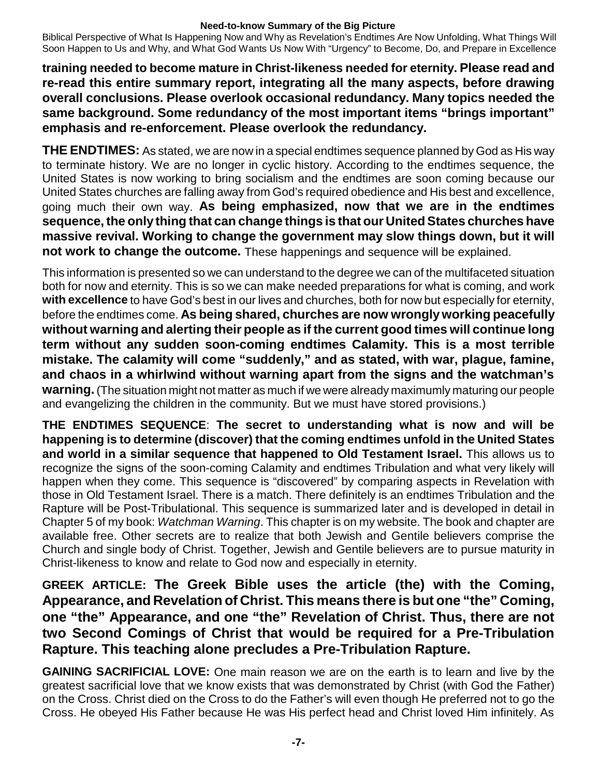Biblical Perspective of What Is Happening Now and Why as Revelation's Endtimes Are Now Unfolding, What Things Will Soon Happen to Us and Why, and What God Wants Us Now With "Urgency" to Become, Do, and Prepare in Excellence

**training needed to become mature in Christ-likeness needed for eternity. Please read and re-read this entire summary report, integrating all the many aspects, before drawing overall conclusions. Please overlook occasional redundancy. Many topics needed the same background. Some redundancy of the most important items "brings important" emphasis and re-enforcement. Please overlook the redundancy.**

**THE ENDTIMES:** As stated, we are now in a special endtimes sequence planned by God as His way to terminate history. We are no longer in cyclic history. According to the endtimes sequence, the United States is now working to bring socialism and the endtimes are soon coming because our United States churches are falling away from God's required obedience and His best and excellence, going much their own way. **As being emphasized, now that we are in the endtimes sequence,the only thing that can change things is that our UnitedStates churches have massive revival. Working to change the government may slow things down, but it will not work to change the outcome.** These happenings and sequence will be explained.

This information is presented so we can understand to the degree we can of the multifaceted situation both for now and eternity. This is so we can make needed preparations for what is coming, and work **with excellence** to have God's best in our lives and churches, both for now but especially for eternity, before the endtimes come. **As being shared, churches are now wrongly working peacefully without warning and alerting their people as if the current good times will continue long term without any sudden soon-coming endtimes Calamity. This is a most terrible mistake. The calamity will come "suddenly," and as stated, with war, plague, famine, and chaos in a whirlwind without warning apart from the signs and the watchman's warning.** (The situation might not matter as much if we were already maximumly maturing our people and evangelizing the children in the community. But we must have stored provisions.)

**THE ENDTIMES SEQUENCE**: **The secret to understanding what is now and will be happening is to determine (discover) that the coming endtimes unfold in the United States and world in a similar sequence that happened to Old Testament Israel.** This allows us to recognize the signs of the soon-coming Calamity and endtimes Tribulation and what very likely will happen when they come. This sequence is "discovered" by comparing aspects in Revelation with those in Old Testament Israel. There is a match. There definitely is an endtimes Tribulation and the Rapture will be Post-Tribulational. This sequence is summarized later and is developed in detail in Chapter 5 of my book: *Watchman Warning*. This chapter is on my website. The book and chapter are available free. Other secrets are to realize that both Jewish and Gentile believers comprise the Church and single body of Christ. Together, Jewish and Gentile believers are to pursue maturity in Christ-likeness to know and relate to God now and especially in eternity.

**GREEK ARTICLE: The Greek Bible uses the article (the) with the Coming, Appearance, and Revelation of Christ. This means there is but one "the" Coming, one "the" Appearance, and one "the" Revelation of Christ. Thus, there are not two Second Comings of Christ that would be required for a Pre-Tribulation Rapture. This teaching alone precludes a Pre-Tribulation Rapture.**

**GAINING SACRIFICIAL LOVE:** One main reason we are on the earth is to learn and live by the greatest sacrificial love that we know exists that was demonstrated by Christ (with God the Father) on the Cross. Christ died on the Cross to do the Father's will even though He preferred not to go the Cross. He obeyed His Father because He was His perfect head and Christ loved Him infinitely. As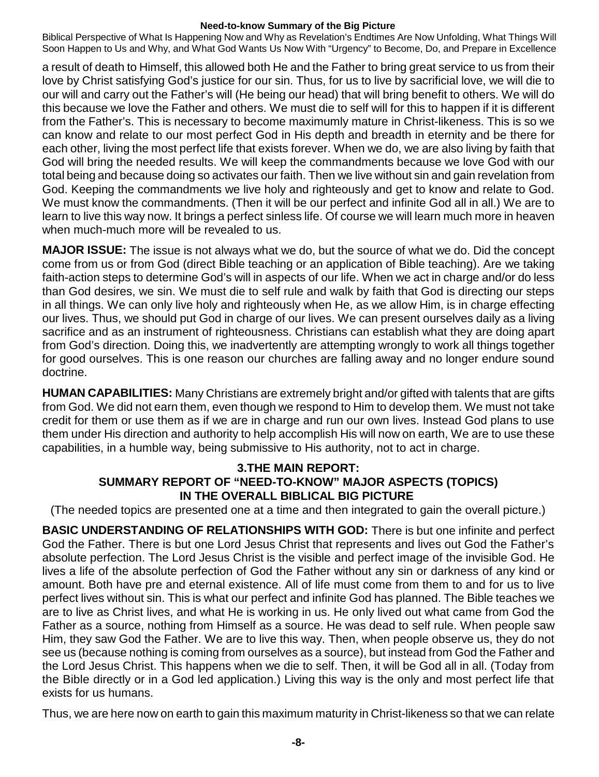Biblical Perspective of What Is Happening Now and Why as Revelation's Endtimes Are Now Unfolding, What Things Will Soon Happen to Us and Why, and What God Wants Us Now With "Urgency" to Become, Do, and Prepare in Excellence

a result of death to Himself, this allowed both He and the Father to bring great service to us from their love by Christ satisfying God's justice for our sin. Thus, for us to live by sacrificial love, we will die to our will and carry out the Father's will (He being our head) that will bring benefit to others. We will do this because we love the Father and others. We must die to self will for this to happen if it is different from the Father's. This is necessary to become maximumly mature in Christ-likeness. This is so we can know and relate to our most perfect God in His depth and breadth in eternity and be there for each other, living the most perfect life that exists forever. When we do, we are also living by faith that God will bring the needed results. We will keep the commandments because we love God with our total being and because doing so activates our faith. Then we live without sin and gain revelation from God. Keeping the commandments we live holy and righteously and get to know and relate to God. We must know the commandments. (Then it will be our perfect and infinite God all in all.) We are to learn to live this way now. It brings a perfect sinless life. Of course we will learn much more in heaven when much-much more will be revealed to us.

**MAJOR ISSUE:** The issue is not always what we do, but the source of what we do. Did the concept come from us or from God (direct Bible teaching or an application of Bible teaching). Are we taking faith-action steps to determine God's will in aspects of our life. When we act in charge and/or do less than God desires, we sin. We must die to self rule and walk by faith that God is directing our steps in all things. We can only live holy and righteously when He, as we allow Him, is in charge effecting our lives. Thus, we should put God in charge of our lives. We can present ourselves daily as a living sacrifice and as an instrument of righteousness. Christians can establish what they are doing apart from God's direction. Doing this, we inadvertently are attempting wrongly to work all things together for good ourselves. This is one reason our churches are falling away and no longer endure sound doctrine.

**HUMAN CAPABILITIES:** Many Christians are extremely bright and/or gifted with talents that are gifts from God. We did not earn them, even though we respond to Him to develop them. We must not take credit for them or use them as if we are in charge and run our own lives. Instead God plans to use them under His direction and authority to help accomplish His will now on earth, We are to use these capabilities, in a humble way, being submissive to His authority, not to act in charge.

# **3.THE MAIN REPORT: SUMMARY REPORT OF "NEED-TO-KNOW" MAJOR ASPECTS (TOPICS) IN THE OVERALL BIBLICAL BIG PICTURE**

(The needed topics are presented one at a time and then integrated to gain the overall picture.)

**BASIC UNDERSTANDING OF RELATIONSHIPS WITH GOD:** There is but one infinite and perfect God the Father. There is but one Lord Jesus Christ that represents and lives out God the Father's absolute perfection. The Lord Jesus Christ is the visible and perfect image of the invisible God. He lives a life of the absolute perfection of God the Father without any sin or darkness of any kind or amount. Both have pre and eternal existence. All of life must come from them to and for us to live perfect lives without sin. This is what our perfect and infinite God has planned. The Bible teaches we are to live as Christ lives, and what He is working in us. He only lived out what came from God the Father as a source, nothing from Himself as a source. He was dead to self rule. When people saw Him, they saw God the Father. We are to live this way. Then, when people observe us, they do not see us (because nothing is coming from ourselves as a source), but instead from God the Father and the Lord Jesus Christ. This happens when we die to self. Then, it will be God all in all. (Today from the Bible directly or in a God led application.) Living this way is the only and most perfect life that exists for us humans.

Thus, we are here now on earth to gain this maximum maturity in Christ-likeness so that we can relate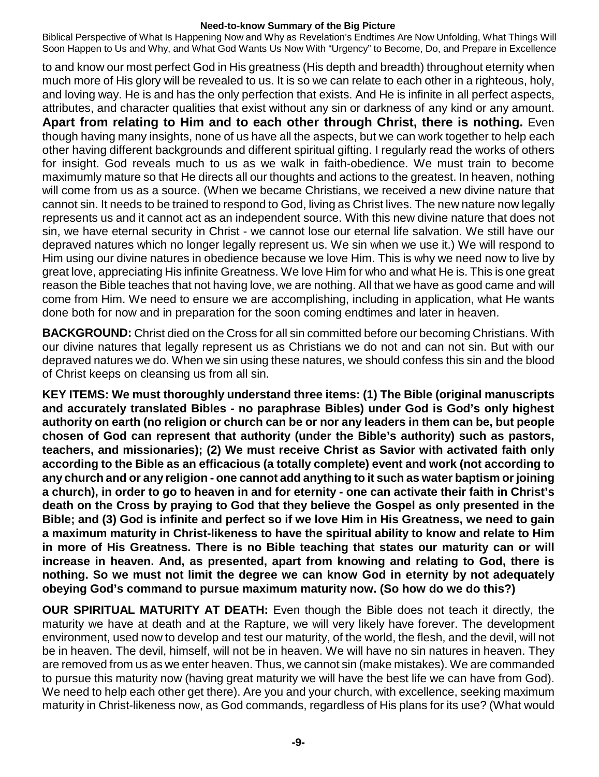Biblical Perspective of What Is Happening Now and Why as Revelation's Endtimes Are Now Unfolding, What Things Will Soon Happen to Us and Why, and What God Wants Us Now With "Urgency" to Become, Do, and Prepare in Excellence

to and know our most perfect God in His greatness (His depth and breadth) throughout eternity when much more of His glory will be revealed to us. It is so we can relate to each other in a righteous, holy, and loving way. He is and has the only perfection that exists. And He is infinite in all perfect aspects, attributes, and character qualities that exist without any sin or darkness of any kind or any amount. **Apart from relating to Him and to each other through Christ, there is nothing.** Even though having many insights, none of us have all the aspects, but we can work together to help each other having different backgrounds and different spiritual gifting. I regularly read the works of others for insight. God reveals much to us as we walk in faith-obedience. We must train to become maximumly mature so that He directs all our thoughts and actions to the greatest. In heaven, nothing will come from us as a source. (When we became Christians, we received a new divine nature that cannot sin. It needs to be trained to respond to God, living as Christ lives. The new nature now legally represents us and it cannot act as an independent source. With this new divine nature that does not sin, we have eternal security in Christ - we cannot lose our eternal life salvation. We still have our depraved natures which no longer legally represent us. We sin when we use it.) We will respond to Him using our divine natures in obedience because we love Him. This is why we need now to live by great love, appreciating His infinite Greatness. We love Him for who and what He is. This is one great reason the Bible teaches that not having love, we are nothing. All that we have as good came and will come from Him. We need to ensure we are accomplishing, including in application, what He wants done both for now and in preparation for the soon coming endtimes and later in heaven.

**BACKGROUND:** Christ died on the Cross for all sin committed before our becoming Christians. With our divine natures that legally represent us as Christians we do not and can not sin. But with our depraved natures we do. When we sin using these natures, we should confess this sin and the blood of Christ keeps on cleansing us from all sin.

**KEY ITEMS: We must thoroughly understand three items: (1) The Bible (original manuscripts and accurately translated Bibles - no paraphrase Bibles) under God is God's only highest** authority on earth (no religion or church can be or nor any leaders in them can be, but people **chosen of God can represent that authority (under the Bible's authority) such as pastors, teachers, and missionaries); (2) We must receive Christ as Savior with activated faith only according to the Bible as an efficacious (a totally complete) event and work (not according to any church and or any religion - one cannot add anything to it such as water baptism orjoining** a church), in order to go to heaven in and for eternity - one can activate their faith in Christ's **death on the Cross by praying to God that they believe the Gospel as only presented in the Bible; and (3) God is infinite and perfect so if we love Him in His Greatness, we need to gain a maximum maturity in Christ-likeness to have the spiritual ability to know and relate to Him in more of His Greatness. There is no Bible teaching that states our maturity can or will increase in heaven. And, as presented, apart from knowing and relating to God, there is nothing. So we must not limit the degree we can know God in eternity by not adequately obeying God's command to pursue maximum maturity now. (So how do we do this?)**

**OUR SPIRITUAL MATURITY AT DEATH:** Even though the Bible does not teach it directly, the maturity we have at death and at the Rapture, we will very likely have forever. The development environment, used now to develop and test our maturity, of the world, the flesh, and the devil, will not be in heaven. The devil, himself, will not be in heaven. We will have no sin natures in heaven. They are removed from us as we enter heaven. Thus, we cannot sin (make mistakes). We are commanded to pursue this maturity now (having great maturity we will have the best life we can have from God). We need to help each other get there). Are you and your church, with excellence, seeking maximum maturity in Christ-likeness now, as God commands, regardless of His plans for its use? (What would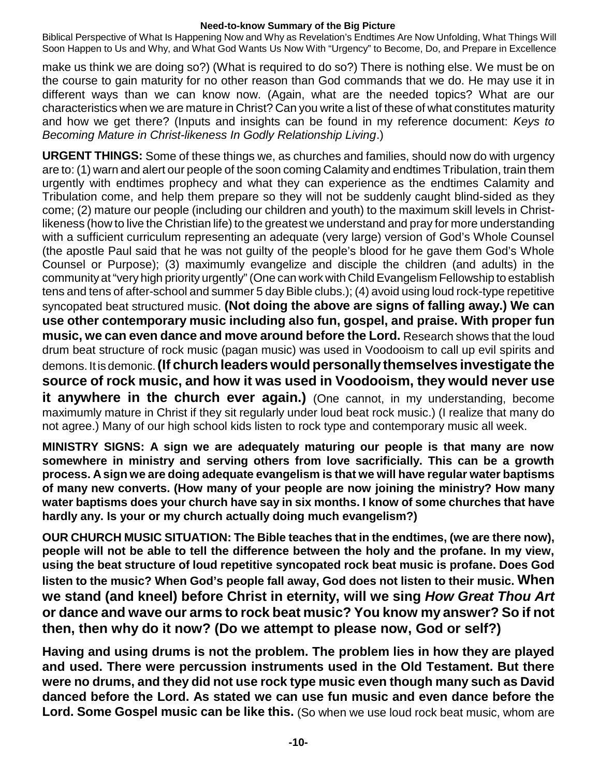Biblical Perspective of What Is Happening Now and Why as Revelation's Endtimes Are Now Unfolding, What Things Will Soon Happen to Us and Why, and What God Wants Us Now With "Urgency" to Become, Do, and Prepare in Excellence

make us think we are doing so?) (What is required to do so?) There is nothing else. We must be on the course to gain maturity for no other reason than God commands that we do. He may use it in different ways than we can know now. (Again, what are the needed topics? What are our characteristics when we are mature in Christ? Can you write a list of these of what constitutes maturity and how we get there? (Inputs and insights can be found in my reference document: *Keys to Becoming Mature in Christ-likeness In Godly Relationship Living*.)

**URGENT THINGS:** Some of these things we, as churches and families, should now do with urgency are to: (1) warn and alert our people of the soon coming Calamity and endtimes Tribulation, train them urgently with endtimes prophecy and what they can experience as the endtimes Calamity and Tribulation come, and help them prepare so they will not be suddenly caught blind-sided as they come; (2) mature our people (including our children and youth) to the maximum skill levels in Christlikeness (how to live the Christian life) to the greatest we understand and pray for more understanding with a sufficient curriculum representing an adequate (very large) version of God's Whole Counsel (the apostle Paul said that he was not guilty of the people's blood for he gave them God's Whole Counsel or Purpose); (3) maximumly evangelize and disciple the children (and adults) in the community at"very high priority urgently"(One can work with ChildEvangelism Fellowship to establish tens and tens of after-school and summer 5 day Bible clubs.); (4) avoid using loud rock-type repetitive syncopated beat structured music. **(Not doing the above are signs of falling away.) We can use other contemporary music including also fun, gospel, and praise. With proper fun music, we can even dance and move around before the Lord.** Research shows that the loud drum beat structure of rock music (pagan music) was used in Voodooism to call up evil spirits and demons. It is demonic.**(If church leaders would personally themselves investigate the source of rock music, and how it was used in Voodooism, they would never use it anywhere in the church ever again.)** (One cannot, in my understanding, become maximumly mature in Christ if they sit regularly under loud beat rock music.) (I realize that many do not agree.) Many of our high school kids listen to rock type and contemporary music all week.

**MINISTRY SIGNS: A sign we are adequately maturing our people is that many are now somewhere in ministry and serving others from love sacrificially. This can be a growth process. A sign we are doing adequate evangelism is that we will have regular water baptisms of many new converts. (How many of your people are now joining the ministry? How many water baptisms does your church have say in six months. I know of some churches that have hardly any. Is your or my church actually doing much evangelism?)**

**OUR CHURCH MUSIC SITUATION: The Bible teaches that in the endtimes, (we are there now), people will not be able to tell the difference between the holy and the profane. In my view, using the beat structure of loud repetitive syncopated rock beat music is profane. Does God listen to the music? When God's people fall away, God does not listen to their music. When we stand (and kneel) before Christ in eternity, will we sing** *How Great Thou Art* **or dance and wave our arms to rock beat music? You know my answer? So if not then, then why do it now? (Do we attempt to please now, God or self?)**

**Having and using drums is not the problem. The problem lies in how they are played and used. There were percussion instruments used in the Old Testament. But there were no drums, and they did not use rock type music even though many such as David danced before the Lord. As stated we can use fun music and even dance before the Lord. Some Gospel music can be like this.** (So when we use loud rock beat music, whom are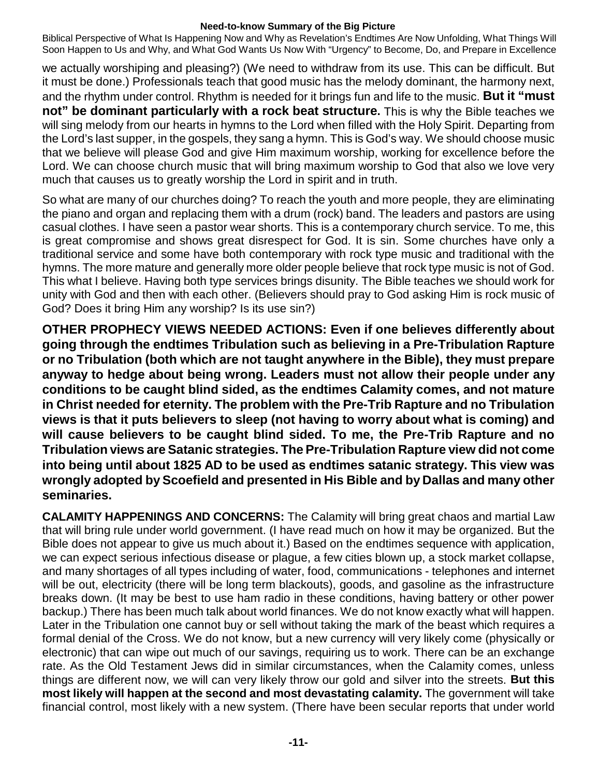Biblical Perspective of What Is Happening Now and Why as Revelation's Endtimes Are Now Unfolding, What Things Will Soon Happen to Us and Why, and What God Wants Us Now With "Urgency" to Become, Do, and Prepare in Excellence

we actually worshiping and pleasing?) (We need to withdraw from its use. This can be difficult. But it must be done.) Professionals teach that good music has the melody dominant, the harmony next, and the rhythm under control. Rhythm is needed for it brings fun and life to the music. **But it "must not" be dominant particularly with a rock beat structure.** This is why the Bible teaches we will sing melody from our hearts in hymns to the Lord when filled with the Holy Spirit. Departing from the Lord's last supper, in the gospels, they sang a hymn. This is God's way. We should choose music that we believe will please God and give Him maximum worship, working for excellence before the Lord. We can choose church music that will bring maximum worship to God that also we love very much that causes us to greatly worship the Lord in spirit and in truth.

So what are many of our churches doing? To reach the youth and more people, they are eliminating the piano and organ and replacing them with a drum (rock) band. The leaders and pastors are using casual clothes. I have seen a pastor wear shorts. This is a contemporary church service. To me, this is great compromise and shows great disrespect for God. It is sin. Some churches have only a traditional service and some have both contemporary with rock type music and traditional with the hymns. The more mature and generally more older people believe that rock type music is not of God. This what I believe. Having both type services brings disunity. The Bible teaches we should work for unity with God and then with each other. (Believers should pray to God asking Him is rock music of God? Does it bring Him any worship? Is its use sin?)

**OTHER PROPHECY VIEWS NEEDED ACTIONS: Even if one believes differently about going through the endtimes Tribulation such as believing in a Pre-Tribulation Rapture or no Tribulation (both which are not taught anywhere in the Bible), they must prepare anyway to hedge about being wrong. Leaders must not allow their people under any conditions to be caught blind sided, as the endtimes Calamity comes, and not mature in Christ needed for eternity. The problem with the Pre-Trib Rapture and no Tribulation views is that it puts believers to sleep (not having to worry about what is coming) and will cause believers to be caught blind sided. To me, the Pre-Trib Rapture and no Tribulation views are Satanic strategies. The Pre-Tribulation Rapture view did not come into being until about 1825 AD to be used as endtimes satanic strategy. This view was wrongly adopted by Scoefield and presented in His Bible and by Dallas and many other seminaries.**

**CALAMITY HAPPENINGS AND CONCERNS:** The Calamity will bring great chaos and martial Law that will bring rule under world government. (I have read much on how it may be organized. But the Bible does not appear to give us much about it.) Based on the endtimes sequence with application, we can expect serious infectious disease or plague, a few cities blown up, a stock market collapse, and many shortages of all types including of water, food, communications - telephones and internet will be out, electricity (there will be long term blackouts), goods, and gasoline as the infrastructure breaks down. (It may be best to use ham radio in these conditions, having battery or other power backup.) There has been much talk about world finances. We do not know exactly what will happen. Later in the Tribulation one cannot buy or sell without taking the mark of the beast which requires a formal denial of the Cross. We do not know, but a new currency will very likely come (physically or electronic) that can wipe out much of our savings, requiring us to work. There can be an exchange rate. As the Old Testament Jews did in similar circumstances, when the Calamity comes, unless things are different now, we will can very likely throw our gold and silver into the streets. **But this most likely will happen at the second and most devastating calamity.** The government will take financial control, most likely with a new system. (There have been secular reports that under world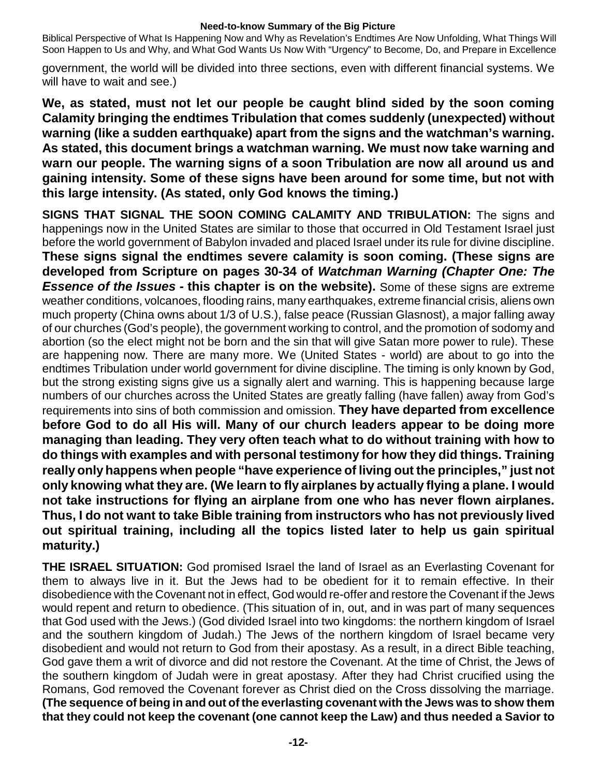Biblical Perspective of What Is Happening Now and Why as Revelation's Endtimes Are Now Unfolding, What Things Will Soon Happen to Us and Why, and What God Wants Us Now With "Urgency" to Become, Do, and Prepare in Excellence

government, the world will be divided into three sections, even with different financial systems. We will have to wait and see.)

**We, as stated, must not let our people be caught blind sided by the soon coming Calamity bringing the endtimes Tribulation that comes suddenly (unexpected) without warning (like a sudden earthquake) apart from the signs and the watchman's warning. As stated, this document brings a watchman warning. We must now take warning and warn our people. The warning signs of a soon Tribulation are now all around us and gaining intensity. Some of these signs have been around for some time, but not with this large intensity. (As stated, only God knows the timing.)**

**SIGNS THAT SIGNAL THE SOON COMING CALAMITY AND TRIBULATION:** The signs and happenings now in the United States are similar to those that occurred in Old Testament Israel just before the world government of Babylon invaded and placed Israel under its rule for divine discipline. **These signs signal the endtimes severe calamity is soon coming. (These signs are developed from Scripture on pages 30-34 of** *Watchman Warning (Chapter One: The Essence of the Issues -* **this chapter is on the website).** Some of these signs are extreme weather conditions, volcanoes, flooding rains, many earthquakes, extreme financial crisis, aliens own much property (China owns about 1/3 of U.S.), false peace (Russian Glasnost), a major falling away of our churches (God's people), the government working to control, and the promotion of sodomy and abortion (so the elect might not be born and the sin that will give Satan more power to rule). These are happening now. There are many more. We (United States - world) are about to go into the endtimes Tribulation under world government for divine discipline. The timing is only known by God, but the strong existing signs give us a signally alert and warning. This is happening because large numbers of our churches across the United States are greatly falling (have fallen) away from God's requirements into sins of both commission and omission. **They have departed from excellence before God to do all His will. Many of our church leaders appear to be doing more managing than leading. They very often teach what to do without training with how to do things with examples and with personal testimony for how they did things. Training really only happens when people "have experience of living out the principles," just not only knowing what they are. (We learn to fly airplanes by actually flying a plane. I would not take instructions for flying an airplane from one who has never flown airplanes. Thus, I do not want to take Bible training from instructors who has not previously lived out spiritual training, including all the topics listed later to help us gain spiritual maturity.)**

**THE ISRAEL SITUATION:** God promised Israel the land of Israel as an Everlasting Covenant for them to always live in it. But the Jews had to be obedient for it to remain effective. In their disobedience with the Covenant not in effect, God would re-offer and restore the Covenant if the Jews would repent and return to obedience. (This situation of in, out, and in was part of many sequences that God used with the Jews.) (God divided Israel into two kingdoms: the northern kingdom of Israel and the southern kingdom of Judah.) The Jews of the northern kingdom of Israel became very disobedient and would not return to God from their apostasy. As a result, in a direct Bible teaching, God gave them a writ of divorce and did not restore the Covenant. At the time of Christ, the Jews of the southern kingdom of Judah were in great apostasy. After they had Christ crucified using the Romans, God removed the Covenant forever as Christ died on the Cross dissolving the marriage. **(The sequence of being in and out of the everlasting covenant with the Jews was to show them that they could not keep the covenant (one cannot keep the Law) and thus needed a Savior to**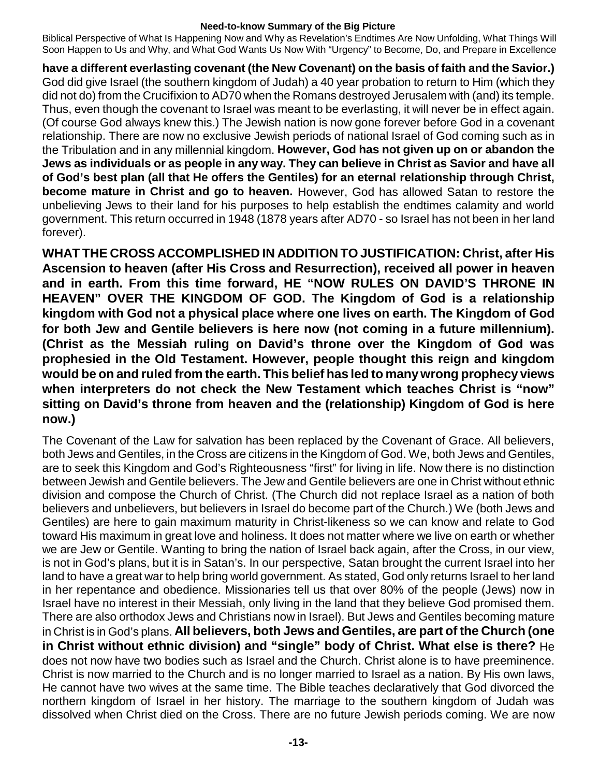Biblical Perspective of What Is Happening Now and Why as Revelation's Endtimes Are Now Unfolding, What Things Will Soon Happen to Us and Why, and What God Wants Us Now With "Urgency" to Become, Do, and Prepare in Excellence

**have a different everlasting covenant (the New Covenant) on the basis of faith and the Savior.)** God did give Israel (the southern kingdom of Judah) a 40 year probation to return to Him (which they did not do) from the Crucifixion to AD70 when the Romans destroyed Jerusalem with (and) its temple. Thus, even though the covenant to Israel was meant to be everlasting, it will never be in effect again. (Of course God always knew this.) The Jewish nation is now gone forever before God in a covenant relationship. There are now no exclusive Jewish periods of national Israel of God coming such as in the Tribulation and in any millennial kingdom. **However, God has not given up on or abandon the** Jews as individuals or as people in any way. They can believe in Christ as Savior and have all **of God's best plan (all that He offers the Gentiles) for an eternal relationship through Christ, become mature in Christ and go to heaven.** However, God has allowed Satan to restore the unbelieving Jews to their land for his purposes to help establish the endtimes calamity and world government. This return occurred in 1948 (1878 years after AD70 - so Israel has not been in her land forever).

**WHAT THE CROSS ACCOMPLISHED IN ADDITION TO JUSTIFICATION: Christ, after His Ascension to heaven (after His Cross and Resurrection), received all power in heaven and in earth. From this time forward, HE "NOW RULES ON DAVID'S THRONE IN HEAVEN" OVER THE KINGDOM OF GOD. The Kingdom of God is a relationship kingdom with God not a physical place where one lives on earth. The Kingdom of God for both Jew and Gentile believers is here now (not coming in a future millennium). (Christ as the Messiah ruling on David's throne over the Kingdom of God was prophesied in the Old Testament. However, people thought this reign and kingdom would be on and ruled from the earth. This belief has led to manywrong prophecy views when interpreters do not check the New Testament which teaches Christ is "now" sitting on David's throne from heaven and the (relationship) Kingdom of God is here now.)**

The Covenant of the Law for salvation has been replaced by the Covenant of Grace. All believers, both Jews and Gentiles, in the Cross are citizens in the Kingdom of God. We, both Jews and Gentiles, are to seek this Kingdom and God's Righteousness "first" for living in life. Now there is no distinction between Jewish and Gentile believers. The Jew and Gentile believers are one in Christ without ethnic division and compose the Church of Christ. (The Church did not replace Israel as a nation of both believers and unbelievers, but believers in Israel do become part of the Church.) We (both Jews and Gentiles) are here to gain maximum maturity in Christ-likeness so we can know and relate to God toward His maximum in great love and holiness. It does not matter where we live on earth or whether we are Jew or Gentile. Wanting to bring the nation of Israel back again, after the Cross, in our view, is not in God's plans, but it is in Satan's. In our perspective, Satan brought the current Israel into her land to have a great war to help bring world government. As stated, God only returns Israel to her land in her repentance and obedience. Missionaries tell us that over 80% of the people (Jews) now in Israel have no interest in their Messiah, only living in the land that they believe God promised them. There are also orthodox Jews and Christians now in Israel). But Jews and Gentiles becoming mature in Christ is in God's plans. **All believers, both Jews and Gentiles, are part of the Church (one in Christ without ethnic division) and "single" body of Christ. What else is there?** He does not now have two bodies such as Israel and the Church. Christ alone is to have preeminence. Christ is now married to the Church and is no longer married to Israel as a nation. By His own laws, He cannot have two wives at the same time. The Bible teaches declaratively that God divorced the northern kingdom of Israel in her history. The marriage to the southern kingdom of Judah was dissolved when Christ died on the Cross. There are no future Jewish periods coming. We are now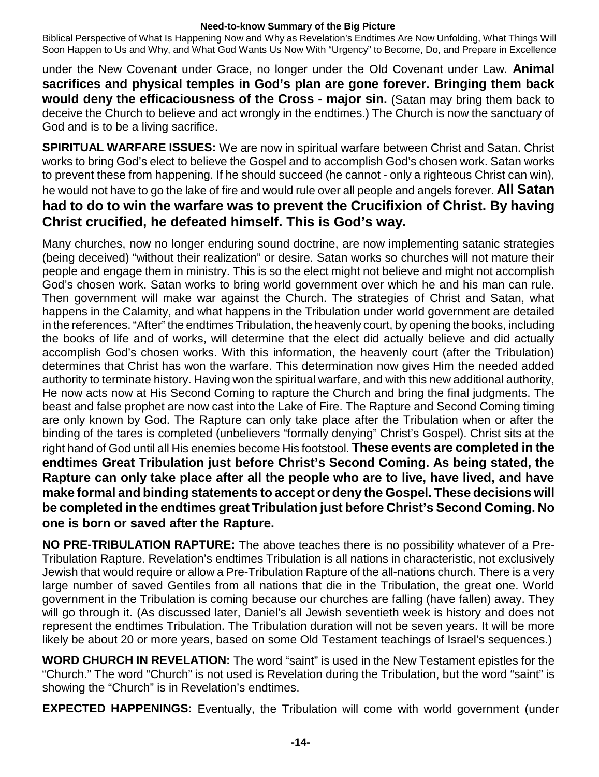Biblical Perspective of What Is Happening Now and Why as Revelation's Endtimes Are Now Unfolding, What Things Will Soon Happen to Us and Why, and What God Wants Us Now With "Urgency" to Become, Do, and Prepare in Excellence

under the New Covenant under Grace, no longer under the Old Covenant under Law. **Animal sacrifices and physical temples in God's plan are gone forever. Bringing them back would deny the efficaciousness of the Cross - major sin.** (Satan may bring them back to deceive the Church to believe and act wrongly in the endtimes.) The Church is now the sanctuary of God and is to be a living sacrifice.

**SPIRITUAL WARFARE ISSUES:** We are now in spiritual warfare between Christ and Satan. Christ works to bring God's elect to believe the Gospel and to accomplish God's chosen work. Satan works to prevent these from happening. If he should succeed (he cannot - only a righteous Christ can win), he would not have to go the lake of fire and would rule over all people and angels forever. **All Satan had to do to win the warfare was to prevent the Crucifixion of Christ. By having Christ crucified, he defeated himself. This is God's way.**

Many churches, now no longer enduring sound doctrine, are now implementing satanic strategies (being deceived) "without their realization" or desire. Satan works so churches will not mature their people and engage them in ministry. This is so the elect might not believe and might not accomplish God's chosen work. Satan works to bring world government over which he and his man can rule. Then government will make war against the Church. The strategies of Christ and Satan, what happens in the Calamity, and what happens in the Tribulation under world government are detailed in the references. "After" the endtimes Tribulation, the heavenly court, by opening the books, including the books of life and of works, will determine that the elect did actually believe and did actually accomplish God's chosen works. With this information, the heavenly court (after the Tribulation) determines that Christ has won the warfare. This determination now gives Him the needed added authority to terminate history. Having won the spiritual warfare, and with this new additional authority, He now acts now at His Second Coming to rapture the Church and bring the final judgments. The beast and false prophet are now cast into the Lake of Fire. The Rapture and Second Coming timing are only known by God. The Rapture can only take place after the Tribulation when or after the binding of the tares is completed (unbelievers "formally denying" Christ's Gospel). Christ sits at the right hand of God until all His enemies become His footstool. **These events are completed in the endtimes Great Tribulation just before Christ's Second Coming. As being stated, the Rapture can only take place after all the people who are to live, have lived, and have make formal and binding statements to accept or deny the Gospel. These decisions will be completed in the endtimes great Tribulation just before Christ's Second Coming. No one is born or saved after the Rapture.**

**NO PRE-TRIBULATION RAPTURE:** The above teaches there is no possibility whatever of a Pre-Tribulation Rapture. Revelation's endtimes Tribulation is all nations in characteristic, not exclusively Jewish that would require or allow a Pre-Tribulation Rapture of the all-nations church. There is a very large number of saved Gentiles from all nations that die in the Tribulation, the great one. World government in the Tribulation is coming because our churches are falling (have fallen) away. They will go through it. (As discussed later, Daniel's all Jewish seventieth week is history and does not represent the endtimes Tribulation. The Tribulation duration will not be seven years. It will be more likely be about 20 or more years, based on some Old Testament teachings of Israel's sequences.)

**WORD CHURCH IN REVELATION:** The word "saint" is used in the New Testament epistles for the "Church." The word "Church" is not used is Revelation during the Tribulation, but the word "saint" is showing the "Church" is in Revelation's endtimes.

**EXPECTED HAPPENINGS:** Eventually, the Tribulation will come with world government (under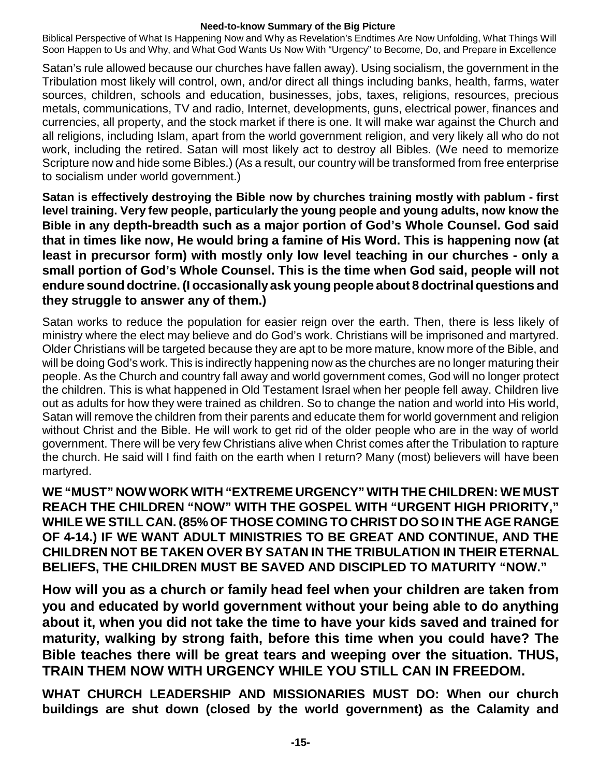Biblical Perspective of What Is Happening Now and Why as Revelation's Endtimes Are Now Unfolding, What Things Will Soon Happen to Us and Why, and What God Wants Us Now With "Urgency" to Become, Do, and Prepare in Excellence

Satan's rule allowed because our churches have fallen away). Using socialism, the government in the Tribulation most likely will control, own, and/or direct all things including banks, health, farms, water sources, children, schools and education, businesses, jobs, taxes, religions, resources, precious metals, communications, TV and radio, Internet, developments, guns, electrical power, finances and currencies, all property, and the stock market if there is one. It will make war against the Church and all religions, including Islam, apart from the world government religion, and very likely all who do not work, including the retired. Satan will most likely act to destroy all Bibles. (We need to memorize Scripture now and hide some Bibles.) (As a result, our country will be transformed from free enterprise to socialism under world government.)

**Satan is effectively destroying the Bible now by churches training mostly with pablum - first level training. Very few people, particularly the young people and young adults, now know the Bible in any depth-breadth such as a major portion of God's Whole Counsel. God said that in times like now, He would bring a famine of His Word. This is happening now (at least in precursor form) with mostly only low level teaching in our churches - only a small portion of God's Whole Counsel. This is the time when God said, people will not endure sound doctrine.(I occasionallyask young people about 8 doctrinal questions and they struggle to answer any of them.)**

Satan works to reduce the population for easier reign over the earth. Then, there is less likely of ministry where the elect may believe and do God's work. Christians will be imprisoned and martyred. Older Christians will be targeted because they are apt to be more mature, know more of the Bible, and will be doing God's work. This is indirectly happening now as the churches are no longer maturing their people. As the Church and country fall away and world government comes, God will no longer protect the children. This is what happened in Old Testament Israel when her people fell away. Children live out as adults for how they were trained as children. So to change the nation and world into His world, Satan will remove the children from their parents and educate them for world government and religion without Christ and the Bible. He will work to get rid of the older people who are in the way of world government. There will be very few Christians alive when Christ comes after the Tribulation to rapture the church. He said will I find faith on the earth when I return? Many (most) believers will have been martyred.

**WE"MUST" NOW WORK WITH "EXTREME URGENCY" WITH THE CHILDREN: WE MUST REACH THE CHILDREN "NOW" WITH THE GOSPEL WITH "URGENT HIGH PRIORITY," WHILE WE STILL CAN. (85%OF THOSE COMING TO CHRIST DO SO IN THE AGE RANGE OF 4-14.) IF WE WANT ADULT MINISTRIES TO BE GREAT AND CONTINUE, AND THE CHILDREN NOT BE TAKEN OVER BY SATAN IN THE TRIBULATION IN THEIR ETERNAL BELIEFS, THE CHILDREN MUST BE SAVED AND DISCIPLED TO MATURITY "NOW."**

**How will you as a church or family head feel when your children are taken from you and educated by world government without your being able to do anything about it, when you did not take the time to have your kids saved and trained for maturity, walking by strong faith, before this time when you could have? The Bible teaches there will be great tears and weeping over the situation. THUS, TRAIN THEM NOW WITH URGENCY WHILE YOU STILL CAN IN FREEDOM.**

**WHAT CHURCH LEADERSHIP AND MISSIONARIES MUST DO: When our church buildings are shut down (closed by the world government) as the Calamity and**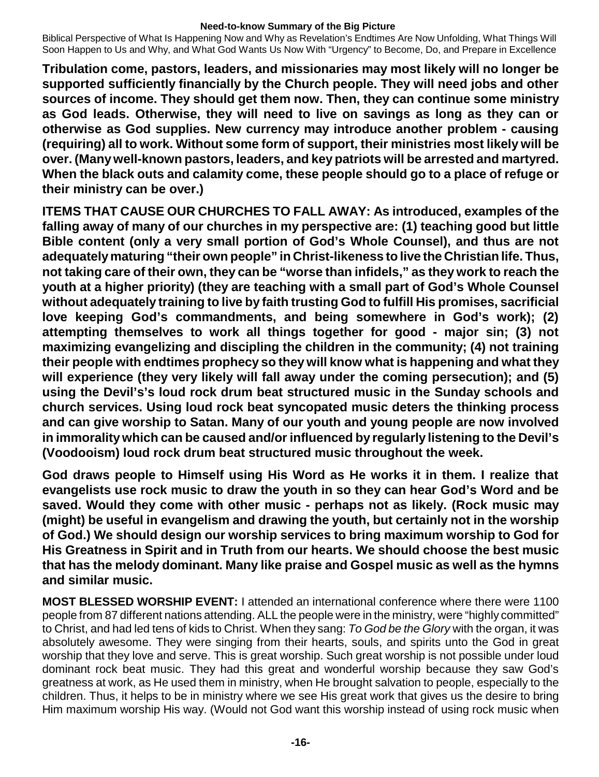Biblical Perspective of What Is Happening Now and Why as Revelation's Endtimes Are Now Unfolding, What Things Will Soon Happen to Us and Why, and What God Wants Us Now With "Urgency" to Become, Do, and Prepare in Excellence

**Tribulation come, pastors, leaders, and missionaries may most likely will no longer be supported sufficiently financially by the Church people. They will need jobs and other sources of income. They should get them now. Then, they can continue some ministry as God leads. Otherwise, they will need to live on savings as long as they can or otherwise as God supplies. New currency may introduce another problem - causing (requiring) all to work. Without some form of support, their ministries most likely will be over. (Manywell-known pastors, leaders, and key patriots will be arrested and martyred. When the black outs and calamity come, these people should go to a place of refuge or their ministry can be over.)**

**ITEMS THAT CAUSE OUR CHURCHES TO FALL AWAY: As introduced, examples of the falling away of many of our churches in my perspective are: (1) teaching good but little Bible content (only a very small portion of God's Whole Counsel), and thus are not adequatelymaturing "their own people" in Christ-likeness to live the Christian life. Thus, not taking care of their own, they can be "worse than infidels," as they work to reach the youth at a higher priority) (they are teaching with a small part of God's Whole Counsel without adequately training to live by faith trusting God to fulfill His promises, sacrificial love keeping God's commandments, and being somewhere in God's work); (2) attempting themselves to work all things together for good - major sin; (3) not maximizing evangelizing and discipling the children in the community; (4) not training their people with endtimes prophecy so they will know what is happening and what they will experience (they very likely will fall away under the coming persecution); and (5) using the Devil's's loud rock drum beat structured music in the Sunday schools and church services. Using loud rock beat syncopated music deters the thinking process and can give worship to Satan. Many of our youth and young people are now involved in immorality which can be caused and/orinfluenced by regularly listening to the Devil's (Voodooism) loud rock drum beat structured music throughout the week.**

**God draws people to Himself using His Word as He works it in them. I realize that evangelists use rock music to draw the youth in so they can hear God's Word and be saved. Would they come with other music - perhaps not as likely. (Rock music may (might) be useful in evangelism and drawing the youth, but certainly not in the worship of God.) We should design our worship services to bring maximum worship to God for His Greatness in Spirit and in Truth from our hearts. We should choose the best music that has the melody dominant. Many like praise and Gospel music as well as the hymns and similar music.**

**MOST BLESSED WORSHIP EVENT:** I attended an international conference where there were 1100 people from 87 different nations attending. ALL the people were in the ministry, were "highly committed" to Christ, and had led tens of kids to Christ. When they sang: *To God be the Glory* with the organ, it was absolutely awesome. They were singing from their hearts, souls, and spirits unto the God in great worship that they love and serve. This is great worship. Such great worship is not possible under loud dominant rock beat music. They had this great and wonderful worship because they saw God's greatness at work, as He used them in ministry, when He brought salvation to people, especially to the children. Thus, it helps to be in ministry where we see His great work that gives us the desire to bring Him maximum worship His way. (Would not God want this worship instead of using rock music when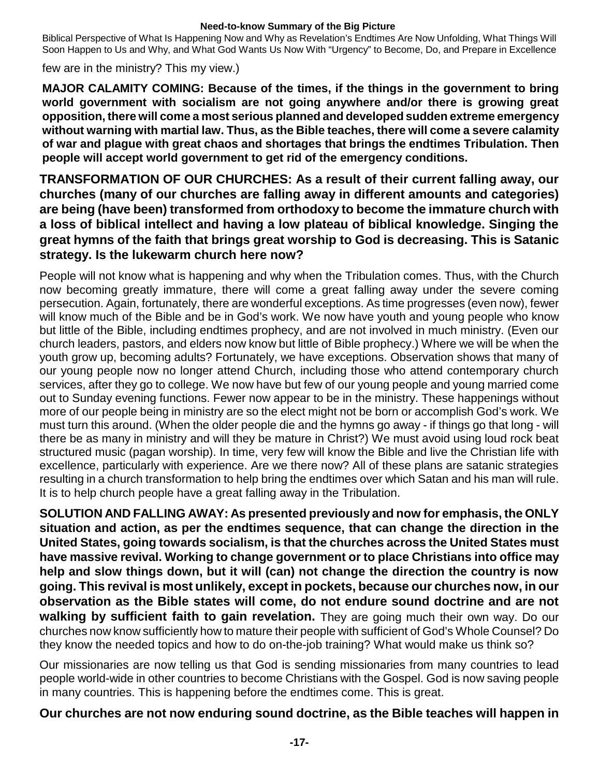Biblical Perspective of What Is Happening Now and Why as Revelation's Endtimes Are Now Unfolding, What Things Will Soon Happen to Us and Why, and What God Wants Us Now With "Urgency" to Become, Do, and Prepare in Excellence

few are in the ministry? This my view.)

**MAJOR CALAMITY COMING: Because of the times, if the things in the government to bring world government with socialism are not going anywhere and/or there is growing great opposition, there will come a most serious planned and developed sudden extreme emergency without warning with martial law. Thus, as the Bible teaches, there will come a severe calamity of war and plague with great chaos and shortages that brings the endtimes Tribulation. Then people will accept world government to get rid of the emergency conditions.**

**TRANSFORMATION OF OUR CHURCHES: As a result of their current falling away, our churches (many of our churches are falling away in different amounts and categories) are being (have been) transformed from orthodoxy to become the immature church with a loss of biblical intellect and having a low plateau of biblical knowledge. Singing the great hymns of the faith that brings great worship to God is decreasing. This is Satanic strategy. Is the lukewarm church here now?**

People will not know what is happening and why when the Tribulation comes. Thus, with the Church now becoming greatly immature, there will come a great falling away under the severe coming persecution. Again, fortunately, there are wonderful exceptions. As time progresses (even now), fewer will know much of the Bible and be in God's work. We now have youth and young people who know but little of the Bible, including endtimes prophecy, and are not involved in much ministry. (Even our church leaders, pastors, and elders now know but little of Bible prophecy.) Where we will be when the youth grow up, becoming adults? Fortunately, we have exceptions. Observation shows that many of our young people now no longer attend Church, including those who attend contemporary church services, after they go to college. We now have but few of our young people and young married come out to Sunday evening functions. Fewer now appear to be in the ministry. These happenings without more of our people being in ministry are so the elect might not be born or accomplish God's work. We must turn this around. (When the older people die and the hymns go away - if things go that long - will there be as many in ministry and will they be mature in Christ?) We must avoid using loud rock beat structured music (pagan worship). In time, very few will know the Bible and live the Christian life with excellence, particularly with experience. Are we there now? All of these plans are satanic strategies resulting in a church transformation to help bring the endtimes over which Satan and his man will rule. It is to help church people have a great falling away in the Tribulation.

**SOLUTION AND FALLING AWAY: As presented previously and now for emphasis, the ONLY situation and action, as per the endtimes sequence, that can change the direction in the United States, going towards socialism, is that the churches across the United States must have massive revival. Working to change government or to place Christians into office may help and slow things down, but it will (can) not change the direction the country is now going. This revival is most unlikely, except in pockets, because our churches now, in our observation as the Bible states will come, do not endure sound doctrine and are not walking by sufficient faith to gain revelation.** They are going much their own way. Do our churches now know sufficiently how to mature their people with sufficient of God's Whole Counsel? Do they know the needed topics and how to do on-the-job training? What would make us think so?

Our missionaries are now telling us that God is sending missionaries from many countries to lead people world-wide in other countries to become Christians with the Gospel. God is now saving people in many countries. This is happening before the endtimes come. This is great.

# **Our churches are not now enduring sound doctrine, as the Bible teaches will happen in**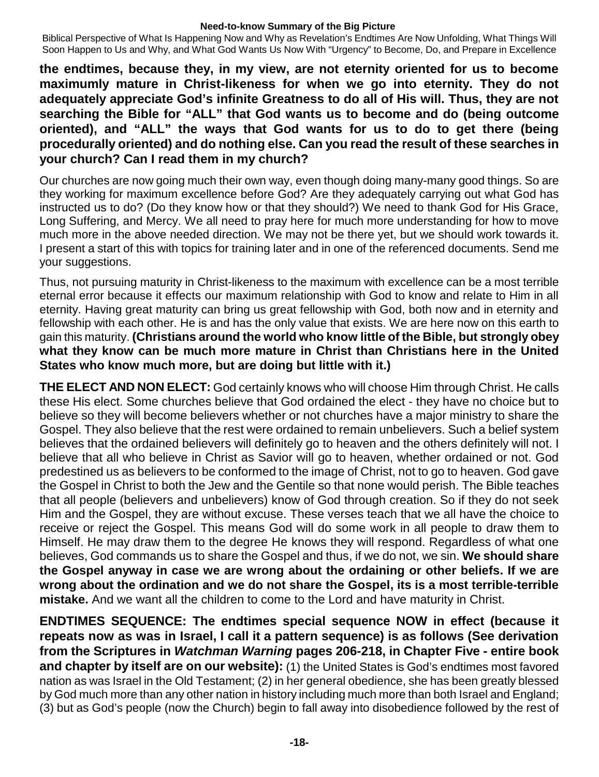Biblical Perspective of What Is Happening Now and Why as Revelation's Endtimes Are Now Unfolding, What Things Will Soon Happen to Us and Why, and What God Wants Us Now With "Urgency" to Become, Do, and Prepare in Excellence

**the endtimes, because they, in my view, are not eternity oriented for us to become maximumly mature in Christ-likeness for when we go into eternity. They do not adequately appreciate God's infinite Greatness to do all of His will. Thus, they are not searching the Bible for "ALL" that God wants us to become and do (being outcome oriented), and "ALL" the ways that God wants for us to do to get there (being procedurally oriented) and do nothing else. Can you read the result of these searches in your church? Can I read them in my church?**

Our churches are now going much their own way, even though doing many-many good things. So are they working for maximum excellence before God? Are they adequately carrying out what God has instructed us to do? (Do they know how or that they should?) We need to thank God for His Grace, Long Suffering, and Mercy. We all need to pray here for much more understanding for how to move much more in the above needed direction. We may not be there yet, but we should work towards it. I present a start of this with topics for training later and in one of the referenced documents. Send me your suggestions.

Thus, not pursuing maturity in Christ-likeness to the maximum with excellence can be a most terrible eternal error because it effects our maximum relationship with God to know and relate to Him in all eternity. Having great maturity can bring us great fellowship with God, both now and in eternity and fellowship with each other. He is and has the only value that exists. We are here now on this earth to gain this maturity. **(Christians around the world who know little of the Bible, but strongly obey what they know can be much more mature in Christ than Christians here in the United States who know much more, but are doing but little with it.)**

**THE ELECT AND NON ELECT:** God certainly knows who will choose Him through Christ. He calls these His elect. Some churches believe that God ordained the elect - they have no choice but to believe so they will become believers whether or not churches have a major ministry to share the Gospel. They also believe that the rest were ordained to remain unbelievers. Such a belief system believes that the ordained believers will definitely go to heaven and the others definitely will not. I believe that all who believe in Christ as Savior will go to heaven, whether ordained or not. God predestined us as believers to be conformed to the image of Christ, not to go to heaven. God gave the Gospel in Christ to both the Jew and the Gentile so that none would perish. The Bible teaches that all people (believers and unbelievers) know of God through creation. So if they do not seek Him and the Gospel, they are without excuse. These verses teach that we all have the choice to receive or reject the Gospel. This means God will do some work in all people to draw them to Himself. He may draw them to the degree He knows they will respond. Regardless of what one believes, God commands us to share the Gospel and thus, if we do not, we sin. **We should share the Gospel anyway in case we are wrong about the ordaining or other beliefs. If we are wrong about the ordination and we do not share the Gospel, its is a most terrible-terrible mistake.** And we want all the children to come to the Lord and have maturity in Christ.

**ENDTIMES SEQUENCE: The endtimes special sequence NOW in effect (because it repeats now as was in Israel, I call it a pattern sequence) is as follows (See derivation from the Scriptures in** *Watchman Warning* **pages 206-218, in Chapter Five - entire book and chapter by itself are on our website):** (1) the United States is God's endtimes most favored nation as was Israel in the Old Testament; (2) in her general obedience, she has been greatly blessed by God much more than any other nation in history including much more than both Israel and England; (3) but as God's people (now the Church) begin to fall away into disobedience followed by the rest of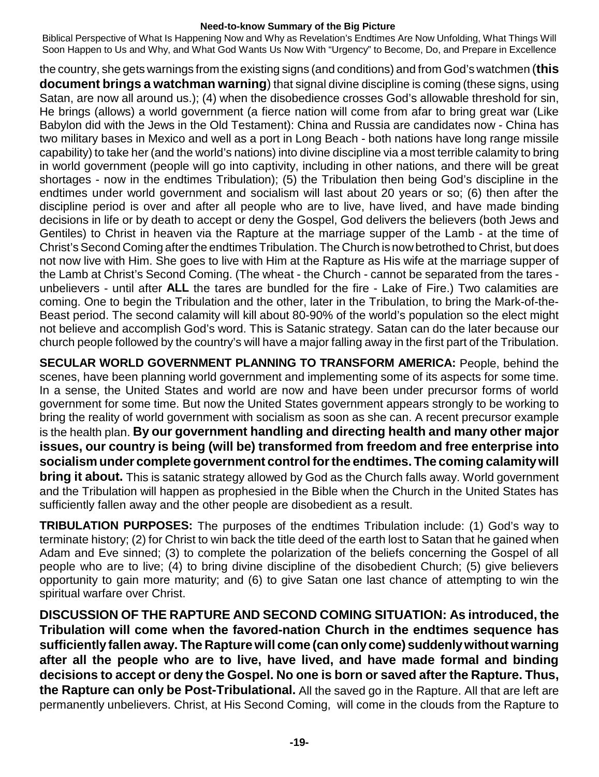Biblical Perspective of What Is Happening Now and Why as Revelation's Endtimes Are Now Unfolding, What Things Will Soon Happen to Us and Why, and What God Wants Us Now With "Urgency" to Become, Do, and Prepare in Excellence

the country, she gets warnings from the existing signs (and conditions) and from God's watchmen (**this document brings a watchman warning**) that signal divine discipline is coming (these signs, using Satan, are now all around us.); (4) when the disobedience crosses God's allowable threshold for sin, He brings (allows) a world government (a fierce nation will come from afar to bring great war (Like Babylon did with the Jews in the Old Testament): China and Russia are candidates now - China has two military bases in Mexico and well as a port in Long Beach - both nations have long range missile capability) to take her (and the world's nations) into divine discipline via a most terrible calamity to bring in world government (people will go into captivity, including in other nations, and there will be great shortages - now in the endtimes Tribulation); (5) the Tribulation then being God's discipline in the endtimes under world government and socialism will last about 20 years or so; (6) then after the discipline period is over and after all people who are to live, have lived, and have made binding decisions in life or by death to accept or deny the Gospel, God delivers the believers (both Jews and Gentiles) to Christ in heaven via the Rapture at the marriage supper of the Lamb - at the time of Christ's Second Coming after the endtimes Tribulation. The Church is now betrothed to Christ, but does not now live with Him. She goes to live with Him at the Rapture as His wife at the marriage supper of the Lamb at Christ's Second Coming. (The wheat - the Church - cannot be separated from the tares unbelievers - until after **ALL** the tares are bundled for the fire - Lake of Fire.) Two calamities are coming. One to begin the Tribulation and the other, later in the Tribulation, to bring the Mark-of-the-Beast period. The second calamity will kill about 80-90% of the world's population so the elect might not believe and accomplish God's word. This is Satanic strategy. Satan can do the later because our church people followed by the country's will have a major falling away in the first part of the Tribulation.

**SECULAR WORLD GOVERNMENT PLANNING TO TRANSFORM AMERICA:** People, behind the scenes, have been planning world government and implementing some of its aspects for some time. In a sense, the United States and world are now and have been under precursor forms of world government for some time. But now the United States government appears strongly to be working to bring the reality of world government with socialism as soon as she can. A recent precursor example is the health plan. **By our government handling and directing health and many other major issues, our country is being (will be) transformed from freedom and free enterprise into socialism under complete government control for the endtimes. The coming calamitywill bring it about.** This is satanic strategy allowed by God as the Church falls away. World government and the Tribulation will happen as prophesied in the Bible when the Church in the United States has sufficiently fallen away and the other people are disobedient as a result.

**TRIBULATION PURPOSES:** The purposes of the endtimes Tribulation include: (1) God's way to terminate history; (2) for Christ to win back the title deed of the earth lost to Satan that he gained when Adam and Eve sinned; (3) to complete the polarization of the beliefs concerning the Gospel of all people who are to live; (4) to bring divine discipline of the disobedient Church; (5) give believers opportunity to gain more maturity; and (6) to give Satan one last chance of attempting to win the spiritual warfare over Christ.

**DISCUSSION OF THE RAPTURE AND SECOND COMING SITUATION: As introduced, the Tribulation will come when the favored-nation Church in the endtimes sequence has sufficientlyfallen away. The Rapture will come (can onlycome) suddenly without warning after all the people who are to live, have lived, and have made formal and binding decisions to accept or deny the Gospel. No one is born or saved after the Rapture. Thus, the Rapture can only be Post-Tribulational.** All the saved go in the Rapture. All that are left are permanently unbelievers. Christ, at His Second Coming, will come in the clouds from the Rapture to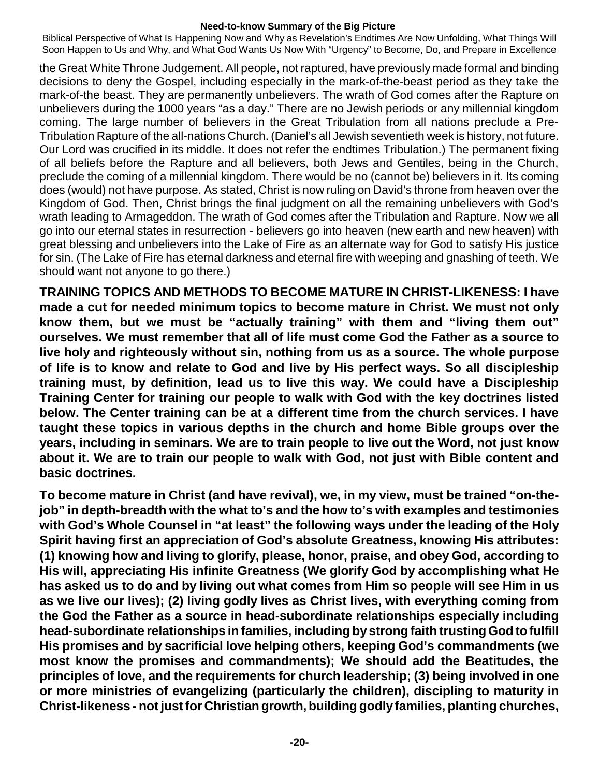Biblical Perspective of What Is Happening Now and Why as Revelation's Endtimes Are Now Unfolding, What Things Will Soon Happen to Us and Why, and What God Wants Us Now With "Urgency" to Become, Do, and Prepare in Excellence

the Great White Throne Judgement. All people, not raptured, have previously made formal and binding decisions to deny the Gospel, including especially in the mark-of-the-beast period as they take the mark-of-the beast. They are permanently unbelievers. The wrath of God comes after the Rapture on unbelievers during the 1000 years "as a day." There are no Jewish periods or any millennial kingdom coming. The large number of believers in the Great Tribulation from all nations preclude a Pre-Tribulation Rapture of the all-nations Church. (Daniel's all Jewish seventieth week is history, not future. Our Lord was crucified in its middle. It does not refer the endtimes Tribulation.) The permanent fixing of all beliefs before the Rapture and all believers, both Jews and Gentiles, being in the Church, preclude the coming of a millennial kingdom. There would be no (cannot be) believers in it. Its coming does (would) not have purpose. As stated, Christ is now ruling on David's throne from heaven over the Kingdom of God. Then, Christ brings the final judgment on all the remaining unbelievers with God's wrath leading to Armageddon. The wrath of God comes after the Tribulation and Rapture. Now we all go into our eternal states in resurrection - believers go into heaven (new earth and new heaven) with great blessing and unbelievers into the Lake of Fire as an alternate way for God to satisfy His justice for sin. (The Lake of Fire has eternal darkness and eternal fire with weeping and gnashing of teeth. We should want not anyone to go there.)

**TRAINING TOPICS AND METHODS TO BECOME MATURE IN CHRIST-LIKENESS: I have made a cut for needed minimum topics to become mature in Christ. We must not only know them, but we must be "actually training" with them and "living them out" ourselves. We must remember that all of life must come God the Father as a source to live holy and righteously without sin, nothing from us as a source. The whole purpose of life is to know and relate to God and live by His perfect ways. So all discipleship training must, by definition, lead us to live this way. We could have a Discipleship Training Center for training our people to walk with God with the key doctrines listed below. The Center training can be at a different time from the church services. I have taught these topics in various depths in the church and home Bible groups over the years, including in seminars. We are to train people to live out the Word, not just know about it. We are to train our people to walk with God, not just with Bible content and basic doctrines.**

**To become mature in Christ (and have revival), we, in my view, must be trained "on-thejob" in depth-breadth with the what to's and the how to's with examples and testimonies with God's Whole Counsel in "at least" the following ways under the leading of the Holy Spirit having first an appreciation of God's absolute Greatness, knowing His attributes: (1) knowing how and living to glorify, please, honor, praise, and obey God, according to His will, appreciating His infinite Greatness (We glorify God by accomplishing what He** has asked us to do and by living out what comes from Him so people will see Him in us **as we live our lives); (2) living godly lives as Christ lives, with everything coming from the God the Father as a source in head-subordinate relationships especially including head-subordinate relationships in families, including by strong faith trusting God to fulfill His promises and by sacrificial love helping others, keeping God's commandments (we most know the promises and commandments); We should add the Beatitudes, the principles of love, and the requirements for church leadership; (3) being involved in one or more ministries of evangelizing (particularly the children), discipling to maturity in Christ-likeness - notjustfor Christian growth, building godly families, planting churches,**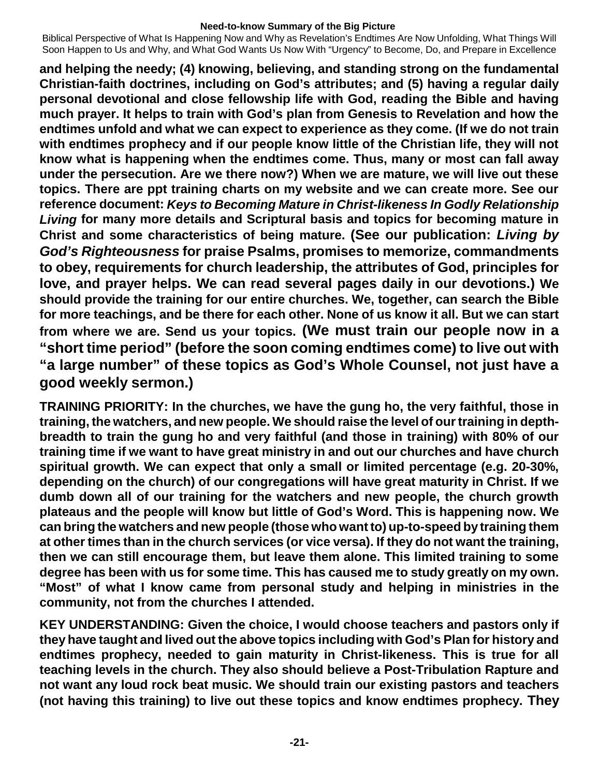Biblical Perspective of What Is Happening Now and Why as Revelation's Endtimes Are Now Unfolding, What Things Will Soon Happen to Us and Why, and What God Wants Us Now With "Urgency" to Become, Do, and Prepare in Excellence

**and helping the needy; (4) knowing, believing, and standing strong on the fundamental Christian-faith doctrines, including on God's attributes; and (5) having a regular daily personal devotional and close fellowship life with God, reading the Bible and having much prayer. It helps to train with God's plan from Genesis to Revelation and how the endtimes unfold and what we can expect to experience as they come. (If we do not train with endtimes prophecy and if our people know little of the Christian life, they will not know what is happening when the endtimes come. Thus, many or most can fall away under the persecution. Are we there now?) When we are mature, we will live out these topics. There are ppt training charts on my website and we can create more. See our reference document:** *Keys to Becoming Mature in Christ-likeness In Godly Relationship Living* **for many more details and Scriptural basis and topics for becoming mature in Christ and some characteristics of being mature. (See our publication:** *Living by God's Righteousness* **for praise Psalms, promises to memorize, commandments to obey, requirements for church leadership, the attributes of God, principles for love, and prayer helps. We can read several pages daily in our devotions.) We should provide the training for our entire churches. We, together, can search the Bible for more teachings, and be there for each other. None of us know it all. But we can start from where we are. Send us your topics. (We must train our people now in a "short time period" (before the soon coming endtimes come) to live out with "a large number" of these topics as God's Whole Counsel, not just have a good weekly sermon.)**

**TRAINING PRIORITY: In the churches, we have the gung ho, the very faithful, those in training, the watchers, and new people. We should raise the level of ourtraining in depthbreadth to train the gung ho and very faithful (and those in training) with 80% of our training time if we want to have great ministry in and out our churches and have church spiritual growth. We can expect that only a small or limited percentage (e.g. 20-30%, depending on the church) of our congregations will have great maturity in Christ. If we dumb down all of our training for the watchers and new people, the church growth plateaus and the people will know but little of God's Word. This is happening now. We can bring the watchers and new people (those who wantto) up-to-speed by training them at other times than in the church services (or vice versa). If they do not want the training, then we can still encourage them, but leave them alone. This limited training to some degree has been with us for some time. This has caused me to study greatly on my own. "Most" of what I know came from personal study and helping in ministries in the community, not from the churches I attended.**

**KEY UNDERSTANDING: Given the choice, I would choose teachers and pastors only if they have taught and lived out the above topics including with God's Plan for history and endtimes prophecy, needed to gain maturity in Christ-likeness. This is true for all teaching levels in the church. They also should believe a Post-Tribulation Rapture and not want any loud rock beat music. We should train our existing pastors and teachers (not having this training) to live out these topics and know endtimes prophecy. They**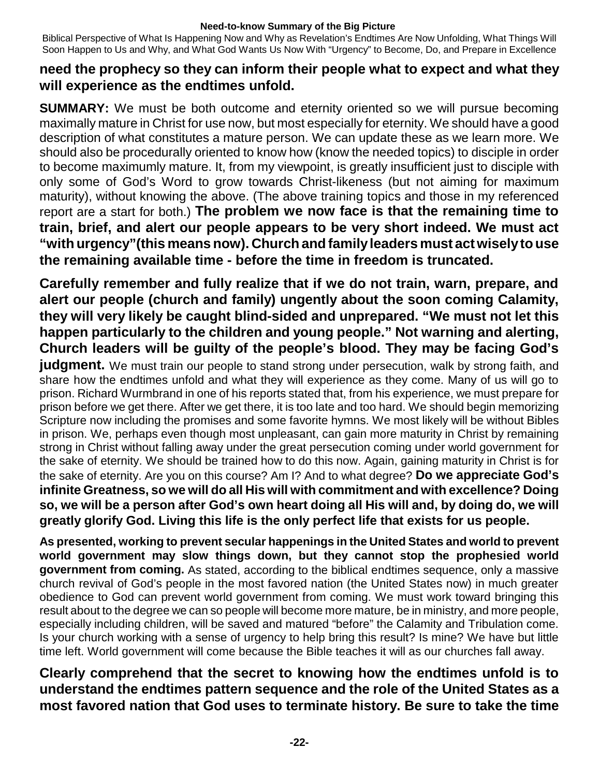Biblical Perspective of What Is Happening Now and Why as Revelation's Endtimes Are Now Unfolding, What Things Will Soon Happen to Us and Why, and What God Wants Us Now With "Urgency" to Become, Do, and Prepare in Excellence

# **need the prophecy so they can inform their people what to expect and what they will experience as the endtimes unfold.**

**SUMMARY:** We must be both outcome and eternity oriented so we will pursue becoming maximally mature in Christ for use now, but most especially for eternity. We should have a good description of what constitutes a mature person. We can update these as we learn more. We should also be procedurally oriented to know how (know the needed topics) to disciple in order to become maximumly mature. It, from my viewpoint, is greatly insufficient just to disciple with only some of God's Word to grow towards Christ-likeness (but not aiming for maximum maturity), without knowing the above. (The above training topics and those in my referenced report are a start for both.) **The problem we now face is that the remaining time to train, brief, and alert our people appears to be very short indeed. We must act "with urgency"(this means now). Church and familyleaders must act wisely to use the remaining available time - before the time in freedom is truncated.**

**Carefully remember and fully realize that if we do not train, warn, prepare, and alert our people (church and family) ungently about the soon coming Calamity, they will very likely be caught blind-sided and unprepared. "We must not let this happen particularly to the children and young people." Not warning and alerting, Church leaders will be guilty of the people's blood. They may be facing God's judgment.** We must train our people to stand strong under persecution, walk by strong faith, and share how the endtimes unfold and what they will experience as they come. Many of us will go to prison. Richard Wurmbrand in one of his reports stated that, from his experience, we must prepare for prison before we get there. After we get there, it is too late and too hard. We should begin memorizing Scripture now including the promises and some favorite hymns. We most likely will be without Bibles in prison. We, perhaps even though most unpleasant, can gain more maturity in Christ by remaining strong in Christ without falling away under the great persecution coming under world government for the sake of eternity. We should be trained how to do this now. Again, gaining maturity in Christ is for the sake of eternity. Are you on this course? Am I? And to what degree? **Do we appreciate God's infinite Greatness, so we will do all His will with commitment and with excellence? Doing** so, we will be a person after God's own heart doing all His will and, by doing do, we will **greatly glorify God. Living this life is the only perfect life that exists for us people.**

**As presented, working to prevent secular happenings in the United States and world to prevent world government may slow things down, but they cannot stop the prophesied world government from coming.** As stated, according to the biblical endtimes sequence, only a massive church revival of God's people in the most favored nation (the United States now) in much greater obedience to God can prevent world government from coming. We must work toward bringing this result about to the degree we can so people will become more mature, be in ministry, and more people, especially including children, will be saved and matured "before" the Calamity and Tribulation come. Is your church working with a sense of urgency to help bring this result? Is mine? We have but little time left. World government will come because the Bible teaches it will as our churches fall away.

**Clearly comprehend that the secret to knowing how the endtimes unfold is to understand the endtimes pattern sequence and the role of the United States as a most favored nation that God uses to terminate history. Be sure to take the time**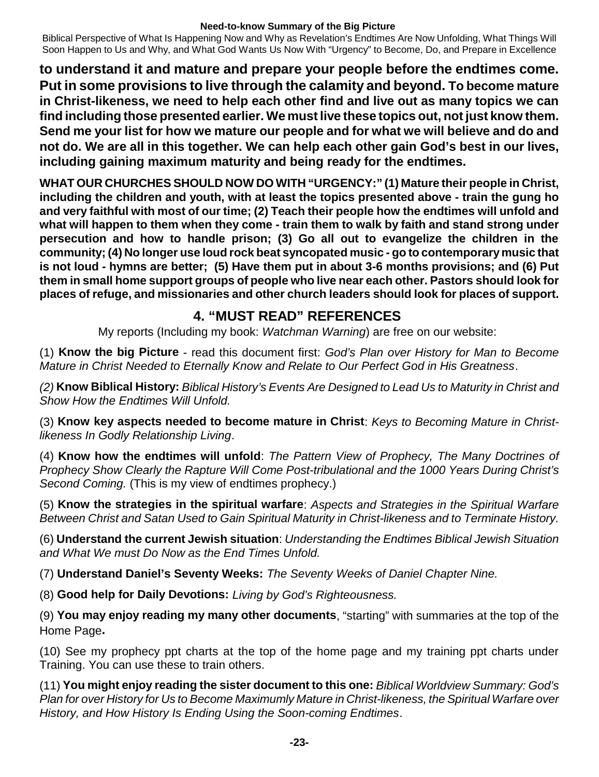Biblical Perspective of What Is Happening Now and Why as Revelation's Endtimes Are Now Unfolding, What Things Will Soon Happen to Us and Why, and What God Wants Us Now With "Urgency" to Become, Do, and Prepare in Excellence

**to understand it and mature and prepare your people before the endtimes come. Put in some provisions to live through the calamity and beyond. To become mature in Christ-likeness, we need to help each other find and live out as many topics we can find including those presented earlier. We must live these topics out, not just know them. Send me your list for how we mature our people and for what we will believe and do and not do. We are all in this together. We can help each other gain God's best in our lives, including gaining maximum maturity and being ready for the endtimes.**

**WHAT OUR CHURCHES SHOULD NOW DO WITH "URGENCY:" (1) Mature their people in Christ, including the children and youth, with at least the topics presented above - train the gung ho and very faithful with most of our time; (2) Teach their people how the endtimes will unfold and** what will happen to them when they come - train them to walk by faith and stand strong under **persecution and how to handle prison; (3) Go all out to evangelize the children in the community; (4) No longer use loud rock beat syncopated music - go to contemporarymusic that is not loud - hymns are better; (5) Have them put in about 3-6 months provisions; and (6) Put them in small home support groups of people who live near each other. Pastors should look for places of refuge, and missionaries and other church leaders should look for places of support.**

# **4. "MUST READ" REFERENCES**

My reports (Including my book: *Watchman Warning*) are free on our website:

(1) **Know the big Picture** - read this document first: *God's Plan over History for Man to Become Mature in Christ Needed to Eternally Know and Relate to Our Perfect God in His Greatness*.

*(2)* **Know Biblical History:** *Biblical History's Events Are Designed to Lead Us to Maturity in Christ and Show How the Endtimes Will Unfold.*

(3) **Know key aspects needed to become mature in Christ**: *Keys to Becoming Mature in Christlikeness In Godly Relationship Living*.

(4) **Know how the endtimes will unfold**: *The Pattern View of Prophecy, The Many Doctrines of Prophecy Show Clearly the Rapture Will Come Post-tribulational and the 1000 Years During Christ's Second Coming.* (This is my view of endtimes prophecy.)

(5) **Know the strategies in the spiritual warfare**: *Aspects and Strategies in the Spiritual Warfare Between Christ and Satan Used to Gain Spiritual Maturity in Christ-likeness and to Terminate History.*

(6) **Understand the current Jewish situation**: *Understanding the Endtimes Biblical Jewish Situation and What We must Do Now as the End Times Unfold.*

(7) **Understand Daniel's Seventy Weeks:** *The Seventy Weeks of Daniel Chapter Nine.*

(8) **Good help for Daily Devotions:** *Living by God's Righteousness.*

(9) **You may enjoy reading my many other documents**, "starting" with summaries at the top of the Home Page**.**

(10) See my prophecy ppt charts at the top of the home page and my training ppt charts under Training. You can use these to train others.

(11) **You might enjoy reading the sister document to this one:** *Biblical Worldview Summary: God's Plan for over History for Us to Become Maximumly Mature in Christ-likeness, the Spiritual Warfare over History, and How History Is Ending Using the Soon-coming Endtimes*.